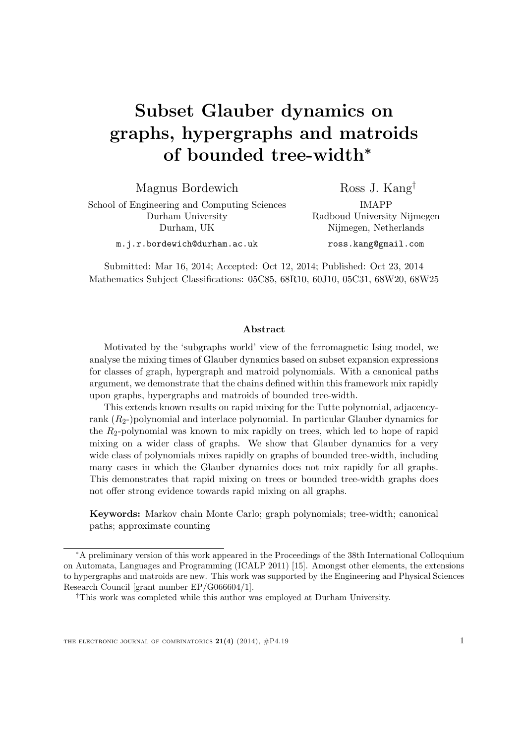# Subset Glauber dynamics on graphs, hypergraphs and matroids of bounded tree-width<sup>∗</sup>

Magnus Bordewich

Ross J. Kang†

School of Engineering and Computing Sciences Durham University Durham, UK

IMAPP Radboud University Nijmegen Nijmegen, Netherlands ross.kang@gmail.com

m.j.r.bordewich@durham.ac.uk

Submitted: Mar 16, 2014; Accepted: Oct 12, 2014; Published: Oct 23, 2014 Mathematics Subject Classifications: 05C85, 68R10, 60J10, 05C31, 68W20, 68W25

#### Abstract

Motivated by the 'subgraphs world' view of the ferromagnetic Ising model, we analyse the mixing times of Glauber dynamics based on subset expansion expressions for classes of graph, hypergraph and matroid polynomials. With a canonical paths argument, we demonstrate that the chains defined within this framework mix rapidly upon graphs, hypergraphs and matroids of bounded tree-width.

This extends known results on rapid mixing for the Tutte polynomial, adjacencyrank  $(R_2)$ -)polynomial and interlace polynomial. In particular Glauber dynamics for the  $R_2$ -polynomial was known to mix rapidly on trees, which led to hope of rapid mixing on a wider class of graphs. We show that Glauber dynamics for a very wide class of polynomials mixes rapidly on graphs of bounded tree-width, including many cases in which the Glauber dynamics does not mix rapidly for all graphs. This demonstrates that rapid mixing on trees or bounded tree-width graphs does not offer strong evidence towards rapid mixing on all graphs.

Keywords: Markov chain Monte Carlo; graph polynomials; tree-width; canonical paths; approximate counting

<sup>∗</sup>A preliminary version of this work appeared in the Proceedings of the 38th International Colloquium on Automata, Languages and Programming (ICALP 2011) [\[15\]](#page-22-0). Amongst other elements, the extensions to hypergraphs and matroids are new. This work was supported by the Engineering and Physical Sciences Research Council [grant number EP/G066604/1].

<sup>†</sup>This work was completed while this author was employed at Durham University.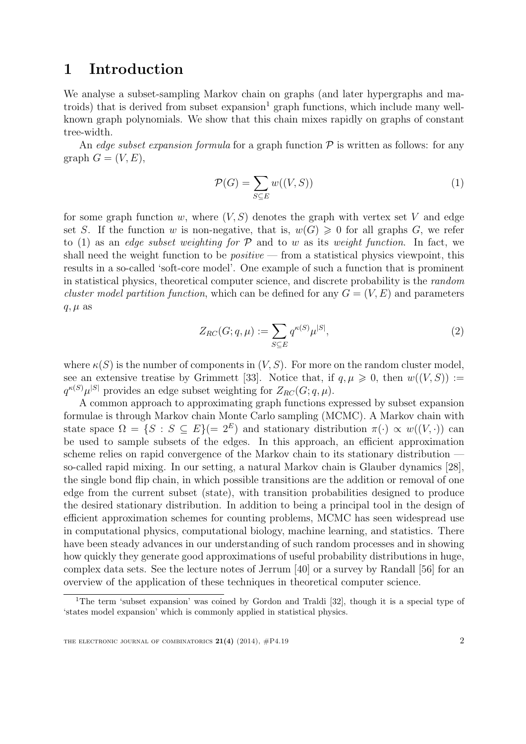# 1 Introduction

We analyse a subset-sampling Markov chain on graphs (and later hypergraphs and matroids) that is derived from subset  $\alpha$  expansion<sup>[1](#page-1-0)</sup> graph functions, which include many wellknown graph polynomials. We show that this chain mixes rapidly on graphs of constant tree-width.

An edge subset expansion formula for a graph function  $P$  is written as follows: for any graph  $G = (V, E)$ ,

<span id="page-1-1"></span>
$$
\mathcal{P}(G) = \sum_{S \subseteq E} w((V, S)) \tag{1}
$$

for some graph function w, where  $(V, S)$  denotes the graph with vertex set V and edge set S. If the function w is non-negative, that is,  $w(G) \geq 0$  for all graphs G, we refer to [\(1\)](#page-1-1) as an *edge subset weighting for*  $P$  and to w as its weight function. In fact, we shall need the weight function to be  $positive$  – from a statistical physics viewpoint, this results in a so-called 'soft-core model'. One example of such a function that is prominent in statistical physics, theoretical computer science, and discrete probability is the random cluster model partition function, which can be defined for any  $G = (V, E)$  and parameters  $q, \mu$  as

<span id="page-1-2"></span>
$$
Z_{RC}(G;q,\mu) := \sum_{S \subseteq E} q^{\kappa(S)} \mu^{|S|},\tag{2}
$$

where  $\kappa(S)$  is the number of components in  $(V, S)$ . For more on the random cluster model, see an extensive treatise by Grimmett [\[33\]](#page-23-0). Notice that, if  $q, \mu \geq 0$ , then  $w((V, S)) :=$  $q^{\kappa(S)}\mu^{|S|}$  provides an edge subset weighting for  $Z_{RC}(G; q, \mu)$ .

A common approach to approximating graph functions expressed by subset expansion formulae is through Markov chain Monte Carlo sampling (MCMC). A Markov chain with state space  $\Omega = \{S : S \subseteq E\}$  and stationary distribution  $\pi(\cdot) \propto w((V, \cdot))$  can be used to sample subsets of the edges. In this approach, an efficient approximation scheme relies on rapid convergence of the Markov chain to its stationary distribution so-called rapid mixing. In our setting, a natural Markov chain is Glauber dynamics [\[28\]](#page-22-1), the single bond flip chain, in which possible transitions are the addition or removal of one edge from the current subset (state), with transition probabilities designed to produce the desired stationary distribution. In addition to being a principal tool in the design of efficient approximation schemes for counting problems, MCMC has seen widespread use in computational physics, computational biology, machine learning, and statistics. There have been steady advances in our understanding of such random processes and in showing how quickly they generate good approximations of useful probability distributions in huge, complex data sets. See the lecture notes of Jerrum [\[40\]](#page-23-1) or a survey by Randall [\[56\]](#page-24-0) for an overview of the application of these techniques in theoretical computer science.

<span id="page-1-0"></span><sup>&</sup>lt;sup>1</sup>The term 'subset expansion' was coined by Gordon and Traldi [\[32\]](#page-23-2), though it is a special type of 'states model expansion' which is commonly applied in statistical physics.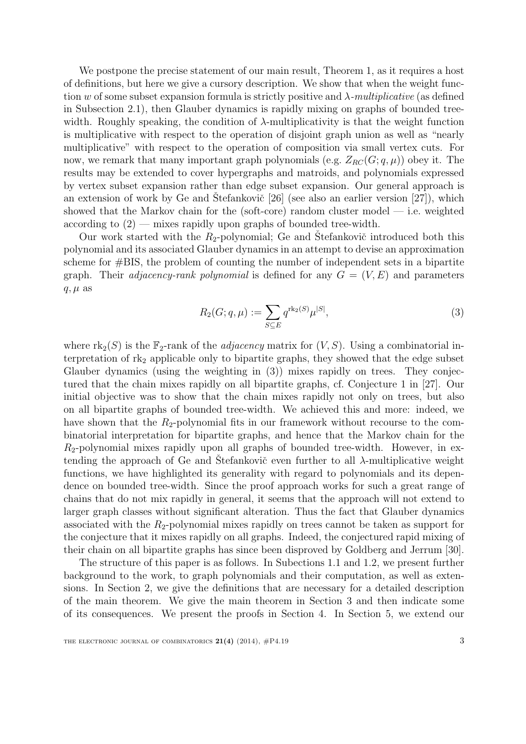We postpone the precise statement of our main result, Theorem [1,](#page-8-0) as it requires a host of definitions, but here we give a cursory description. We show that when the weight function w of some subset expansion formula is strictly positive and  $\lambda$ -multiplicative (as defined in Subsection [2.1\)](#page-5-0), then Glauber dynamics is rapidly mixing on graphs of bounded treewidth. Roughly speaking, the condition of  $\lambda$ -multiplicativity is that the weight function is multiplicative with respect to the operation of disjoint graph union as well as "nearly multiplicative" with respect to the operation of composition via small vertex cuts. For now, we remark that many important graph polynomials (e.g.  $Z_{RC}(G; q, \mu)$ ) obey it. The results may be extended to cover hypergraphs and matroids, and polynomials expressed by vertex subset expansion rather than edge subset expansion. Our general approach is an extension of work by Ge and Stefankovič  $[26]$  $[26]$  (see also an earlier version  $[27]$ ), which showed that the Markov chain for the (soft-core) random cluster model  $-$  i.e. weighted according to  $(2)$  — mixes rapidly upon graphs of bounded tree-width.

Our work started with the  $R_2$ -polynomial; Ge and Stefankovič introduced both this polynomial and its associated Glauber dynamics in an attempt to devise an approximation scheme for #BIS, the problem of counting the number of independent sets in a bipartite graph. Their *adjacency-rank polynomial* is defined for any  $G = (V, E)$  and parameters  $q, \mu$  as

<span id="page-2-0"></span>
$$
R_2(G; q, \mu) := \sum_{S \subseteq E} q^{\text{rk}_2(S)} \mu^{|S|},\tag{3}
$$

where  $\text{rk}_2(S)$  is the  $\mathbb{F}_2$ -rank of the *adjacency* matrix for  $(V, S)$ . Using a combinatorial interpretation of  $rk_2$  applicable only to bipartite graphs, they showed that the edge subset Glauber dynamics (using the weighting in [\(3\)](#page-2-0)) mixes rapidly on trees. They conjectured that the chain mixes rapidly on all bipartite graphs, cf. Conjecture 1 in [\[27\]](#page-22-3). Our initial objective was to show that the chain mixes rapidly not only on trees, but also on all bipartite graphs of bounded tree-width. We achieved this and more: indeed, we have shown that the  $R_2$ -polynomial fits in our framework without recourse to the combinatorial interpretation for bipartite graphs, and hence that the Markov chain for the  $R<sub>2</sub>$ -polynomial mixes rapidly upon all graphs of bounded tree-width. However, in extending the approach of Ge and Štefankovič even further to all  $\lambda$ -multiplicative weight functions, we have highlighted its generality with regard to polynomials and its dependence on bounded tree-width. Since the proof approach works for such a great range of chains that do not mix rapidly in general, it seems that the approach will not extend to larger graph classes without significant alteration. Thus the fact that Glauber dynamics associated with the  $R_2$ -polynomial mixes rapidly on trees cannot be taken as support for the conjecture that it mixes rapidly on all graphs. Indeed, the conjectured rapid mixing of their chain on all bipartite graphs has since been disproved by Goldberg and Jerrum [\[30\]](#page-23-3).

The structure of this paper is as follows. In Subections [1.1](#page-3-0) and [1.2,](#page-4-0) we present further background to the work, to graph polynomials and their computation, as well as extensions. In Section [2,](#page-5-1) we give the definitions that are necessary for a detailed description of the main theorem. We give the main theorem in Section [3](#page-8-1) and then indicate some of its consequences. We present the proofs in Section [4.](#page-9-0) In Section [5,](#page-12-0) we extend our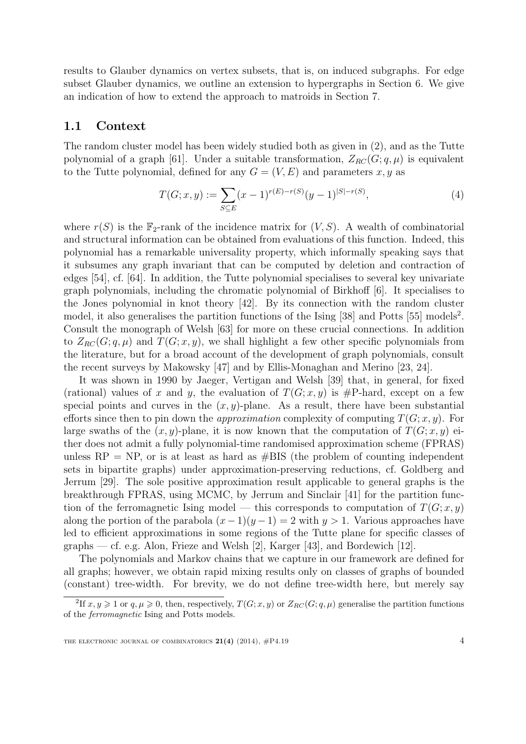results to Glauber dynamics on vertex subsets, that is, on induced subgraphs. For edge subset Glauber dynamics, we outline an extension to hypergraphs in Section [6.](#page-16-0) We give an indication of how to extend the approach to matroids in Section [7.](#page-17-0)

#### <span id="page-3-0"></span>1.1 Context

The random cluster model has been widely studied both as given in [\(2\)](#page-1-2), and as the Tutte polynomial of a graph [\[61\]](#page-24-1). Under a suitable transformation,  $Z_{RC}(G; q, \mu)$  is equivalent to the Tutte polynomial, defined for any  $G = (V, E)$  and parameters x, y as

<span id="page-3-2"></span>
$$
T(G; x, y) := \sum_{S \subseteq E} (x - 1)^{r(E) - r(S)} (y - 1)^{|S| - r(S)},
$$
\n(4)

where  $r(S)$  is the  $\mathbb{F}_2$ -rank of the incidence matrix for  $(V, S)$ . A wealth of combinatorial and structural information can be obtained from evaluations of this function. Indeed, this polynomial has a remarkable universality property, which informally speaking says that it subsumes any graph invariant that can be computed by deletion and contraction of edges [\[54\]](#page-24-2), cf. [\[64\]](#page-25-0). In addition, the Tutte polynomial specialises to several key univariate graph polynomials, including the chromatic polynomial of Birkhoff [\[6\]](#page-21-0). It specialises to the Jones polynomial in knot theory [\[42\]](#page-23-4). By its connection with the random cluster model, it also generalises the partition functions of the Ising  $[38]$  and Potts  $[55]$  models<sup>[2](#page-3-1)</sup>. Consult the monograph of Welsh [\[63\]](#page-25-1) for more on these crucial connections. In addition to  $Z_{RC}(G; q, \mu)$  and  $T(G; x, y)$ , we shall highlight a few other specific polynomials from the literature, but for a broad account of the development of graph polynomials, consult the recent surveys by Makowsky [\[47\]](#page-24-4) and by Ellis-Monaghan and Merino [\[23,](#page-22-4) [24\]](#page-22-5).

It was shown in 1990 by Jaeger, Vertigan and Welsh [\[39\]](#page-23-6) that, in general, for fixed (rational) values of x and y, the evaluation of  $T(G; x, y)$  is #P-hard, except on a few special points and curves in the  $(x, y)$ -plane. As a result, there have been substantial efforts since then to pin down the *approximation* complexity of computing  $T(G; x, y)$ . For large swaths of the  $(x, y)$ -plane, it is now known that the computation of  $T(G; x, y)$  either does not admit a fully polynomial-time randomised approximation scheme (FPRAS) unless  $RP = NP$ , or is at least as hard as  $#BIS$  (the problem of counting independent sets in bipartite graphs) under approximation-preserving reductions, cf. Goldberg and Jerrum [\[29\]](#page-23-7). The sole positive approximation result applicable to general graphs is the breakthrough FPRAS, using MCMC, by Jerrum and Sinclair [\[41\]](#page-23-8) for the partition function of the ferromagnetic Ising model — this corresponds to computation of  $T(G; x, y)$ along the portion of the parabola  $(x-1)(y-1) = 2$  with  $y > 1$ . Various approaches have led to efficient approximations in some regions of the Tutte plane for specific classes of graphs — cf. e.g. Alon, Frieze and Welsh [\[2\]](#page-21-1), Karger [\[43\]](#page-23-9), and Bordewich [\[12\]](#page-21-2).

The polynomials and Markov chains that we capture in our framework are defined for all graphs; however, we obtain rapid mixing results only on classes of graphs of bounded (constant) tree-width. For brevity, we do not define tree-width here, but merely say

<span id="page-3-1"></span><sup>&</sup>lt;sup>2</sup>If  $x, y \ge 1$  or  $q, \mu \ge 0$ , then, respectively,  $T(G; x, y)$  or  $Z_{RC}(G; q, \mu)$  generalise the partition functions of the ferromagnetic Ising and Potts models.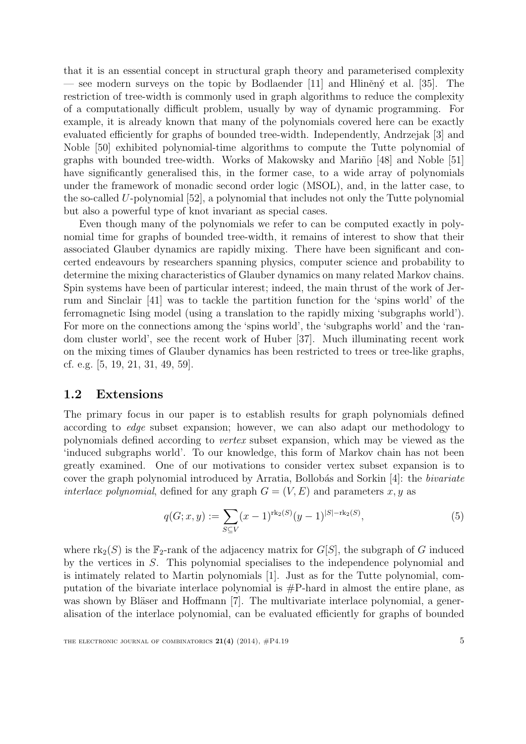that it is an essential concept in structural graph theory and parameterised complexity — see modern surveys on the topic by Bodlaender [\[11\]](#page-21-3) and Hliněný et al. [\[35\]](#page-23-10). The restriction of tree-width is commonly used in graph algorithms to reduce the complexity of a computationally difficult problem, usually by way of dynamic programming. For example, it is already known that many of the polynomials covered here can be exactly evaluated efficiently for graphs of bounded tree-width. Independently, Andrzejak [\[3\]](#page-21-4) and Noble [\[50\]](#page-24-5) exhibited polynomial-time algorithms to compute the Tutte polynomial of graphs with bounded tree-width. Works of Makowsky and Mariño  $[48]$  and Noble  $[51]$ have significantly generalised this, in the former case, to a wide array of polynomials under the framework of monadic second order logic (MSOL), and, in the latter case, to the so-called U-polynomial [\[52\]](#page-24-8), a polynomial that includes not only the Tutte polynomial but also a powerful type of knot invariant as special cases.

Even though many of the polynomials we refer to can be computed exactly in polynomial time for graphs of bounded tree-width, it remains of interest to show that their associated Glauber dynamics are rapidly mixing. There have been significant and concerted endeavours by researchers spanning physics, computer science and probability to determine the mixing characteristics of Glauber dynamics on many related Markov chains. Spin systems have been of particular interest; indeed, the main thrust of the work of Jerrum and Sinclair [\[41\]](#page-23-8) was to tackle the partition function for the 'spins world' of the ferromagnetic Ising model (using a translation to the rapidly mixing 'subgraphs world'). For more on the connections among the 'spins world', the 'subgraphs world' and the 'random cluster world', see the recent work of Huber [\[37\]](#page-23-11). Much illuminating recent work on the mixing times of Glauber dynamics has been restricted to trees or tree-like graphs, cf. e.g. [\[5,](#page-21-5) [19,](#page-22-6) [21,](#page-22-7) [31,](#page-23-12) [49,](#page-24-9) [59\]](#page-24-10).

#### <span id="page-4-0"></span>1.2 Extensions

The primary focus in our paper is to establish results for graph polynomials defined according to edge subset expansion; however, we can also adapt our methodology to polynomials defined according to vertex subset expansion, which may be viewed as the 'induced subgraphs world'. To our knowledge, this form of Markov chain has not been greatly examined. One of our motivations to consider vertex subset expansion is to cover the graph polynomial introduced by Arratia, Bollobás and Sorkin [\[4\]](#page-21-6): the bivariate interlace polynomial, defined for any graph  $G = (V, E)$  and parameters x, y as

<span id="page-4-1"></span>
$$
q(G; x, y) := \sum_{S \subseteq V} (x - 1)^{\text{rk}_2(S)} (y - 1)^{|S| - \text{rk}_2(S)},
$$
\n(5)

where  $\text{rk}_2(S)$  is the  $\mathbb{F}_2$ -rank of the adjacency matrix for  $G[S]$ , the subgraph of G induced by the vertices in S. This polynomial specialises to the independence polynomial and is intimately related to Martin polynomials [\[1\]](#page-21-7). Just as for the Tutte polynomial, computation of the bivariate interlace polynomial is  $\#P$ -hard in almost the entire plane, as was shown by Bläser and Hoffmann  $|7|$ . The multivariate interlace polynomial, a generalisation of the interlace polynomial, can be evaluated efficiently for graphs of bounded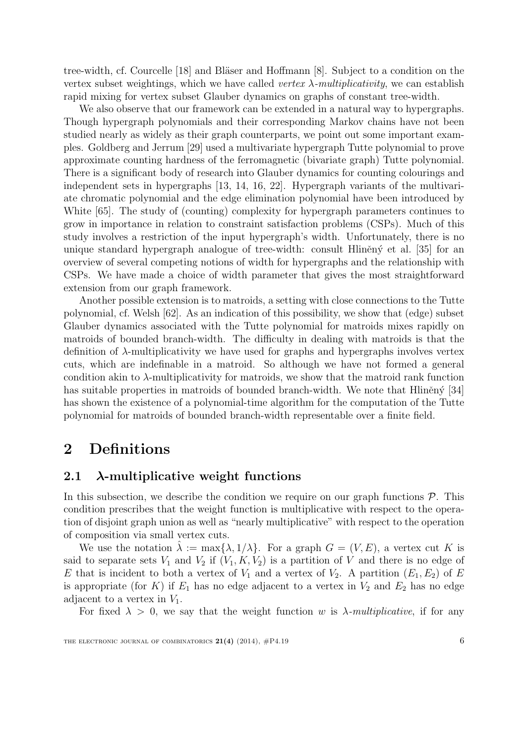tree-width, cf. Courcelle [\[18\]](#page-22-8) and Bläser and Hoffmann [\[8\]](#page-21-9). Subject to a condition on the vertex subset weightings, which we have called vertex  $\lambda$ -multiplicativity, we can establish rapid mixing for vertex subset Glauber dynamics on graphs of constant tree-width.

We also observe that our framework can be extended in a natural way to hypergraphs. Though hypergraph polynomials and their corresponding Markov chains have not been studied nearly as widely as their graph counterparts, we point out some important examples. Goldberg and Jerrum [\[29\]](#page-23-7) used a multivariate hypergraph Tutte polynomial to prove approximate counting hardness of the ferromagnetic (bivariate graph) Tutte polynomial. There is a significant body of research into Glauber dynamics for counting colourings and independent sets in hypergraphs [\[13,](#page-21-10) [14,](#page-22-9) [16,](#page-22-10) [22\]](#page-22-11). Hypergraph variants of the multivariate chromatic polynomial and the edge elimination polynomial have been introduced by White [\[65\]](#page-25-2). The study of (counting) complexity for hypergraph parameters continues to grow in importance in relation to constraint satisfaction problems (CSPs). Much of this study involves a restriction of the input hypergraph's width. Unfortunately, there is no unique standard hypergraph analogue of tree-width: consult Hlinen $\acute{v}$  et al. [\[35\]](#page-23-10) for an overview of several competing notions of width for hypergraphs and the relationship with CSPs. We have made a choice of width parameter that gives the most straightforward extension from our graph framework.

Another possible extension is to matroids, a setting with close connections to the Tutte polynomial, cf. Welsh [\[62\]](#page-24-11). As an indication of this possibility, we show that (edge) subset Glauber dynamics associated with the Tutte polynomial for matroids mixes rapidly on matroids of bounded branch-width. The difficulty in dealing with matroids is that the definition of λ-multiplicativity we have used for graphs and hypergraphs involves vertex cuts, which are indefinable in a matroid. So although we have not formed a general condition akin to  $\lambda$ -multiplicativity for matroids, we show that the matroid rank function has suitable properties in matroids of bounded branch-width. We note that Hlinen $\acute{y}$  [\[34\]](#page-23-13) has shown the existence of a polynomial-time algorithm for the computation of the Tutte polynomial for matroids of bounded branch-width representable over a finite field.

## <span id="page-5-1"></span>2 Definitions

### <span id="page-5-0"></span>2.1  $\lambda$ -multiplicative weight functions

In this subsection, we describe the condition we require on our graph functions  $P$ . This condition prescribes that the weight function is multiplicative with respect to the operation of disjoint graph union as well as "nearly multiplicative" with respect to the operation of composition via small vertex cuts.

We use the notation  $\lambda := \max\{\lambda, 1/\lambda\}$ . For a graph  $G = (V, E)$ , a vertex cut K is said to separate sets  $V_1$  and  $V_2$  if  $(V_1, K, V_2)$  is a partition of V and there is no edge of E that is incident to both a vertex of  $V_1$  and a vertex of  $V_2$ . A partition  $(E_1, E_2)$  of E is appropriate (for K) if  $E_1$  has no edge adjacent to a vertex in  $V_2$  and  $E_2$  has no edge adjacent to a vertex in  $V_1$ .

For fixed  $\lambda > 0$ , we say that the weight function w is  $\lambda$ -multiplicative, if for any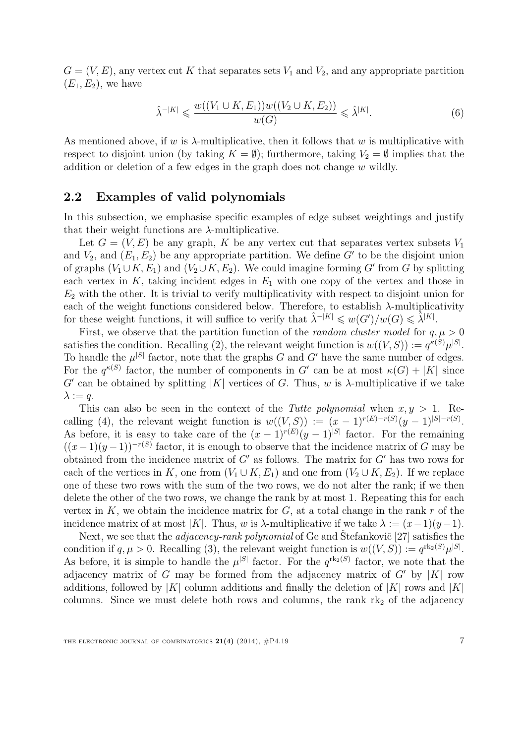$G = (V, E)$ , any vertex cut K that separates sets  $V_1$  and  $V_2$ , and any appropriate partition  $(E_1, E_2)$ , we have

$$
\hat{\lambda}^{-|K|} \leqslant \frac{w((V_1 \cup K, E_1))w((V_2 \cup K, E_2))}{w(G)} \leqslant \hat{\lambda}^{|K|}.
$$
\n
$$
(6)
$$

As mentioned above, if w is  $\lambda$ -multiplicative, then it follows that w is multiplicative with respect to disjoint union (by taking  $K = \emptyset$ ); furthermore, taking  $V_2 = \emptyset$  implies that the addition or deletion of a few edges in the graph does not change  $w$  wildly.

#### <span id="page-6-0"></span>2.2 Examples of valid polynomials

In this subsection, we emphasise specific examples of edge subset weightings and justify that their weight functions are  $\lambda$ -multiplicative.

Let  $G = (V, E)$  be any graph, K be any vertex cut that separates vertex subsets  $V_1$ and  $V_2$ , and  $(E_1, E_2)$  be any appropriate partition. We define G' to be the disjoint union of graphs  $(V_1 \cup K, E_1)$  and  $(V_2 \cup K, E_2)$ . We could imagine forming G' from G by splitting each vertex in  $K$ , taking incident edges in  $E_1$  with one copy of the vertex and those in  $E_2$  with the other. It is trivial to verify multiplicativity with respect to disjoint union for each of the weight functions considered below. Therefore, to establish  $\lambda$ -multiplicativity for these weight functions, it will suffice to verify that  $\hat{\lambda}^{-|K|} \leq w(G')/w(G) \leq \hat{\lambda}^{|K|}$ .

First, we observe that the partition function of the *random cluster model* for  $q, \mu > 0$ satisfies the condition. Recalling [\(2\)](#page-1-2), the relevant weight function is  $w((V, S)) := q^{\kappa(S)} \mu^{|S|}$ . To handle the  $\mu^{|S|}$  factor, note that the graphs G and G' have the same number of edges. For the  $q^{\kappa(S)}$  factor, the number of components in G' can be at most  $\kappa(G) + |K|$  since  $G'$  can be obtained by splitting |K| vertices of G. Thus, w is  $\lambda$ -multiplicative if we take  $\lambda := q$ .

This can also be seen in the context of the *Tutte polynomial* when  $x, y > 1$ . Re-calling [\(4\)](#page-3-2), the relevant weight function is  $w((V, S)) := (x - 1)^{r(E) - r(S)}(y - 1)^{|S| - r(S)}$ . As before, it is easy to take care of the  $(x-1)^{r(E)}(y-1)^{|S|}$  factor. For the remaining  $((x-1)(y-1))^{-r(S)}$  factor, it is enough to observe that the incidence matrix of G may be obtained from the incidence matrix of  $G'$  as follows. The matrix for  $G'$  has two rows for each of the vertices in K, one from  $(V_1 \cup K, E_1)$  and one from  $(V_2 \cup K, E_2)$ . If we replace one of these two rows with the sum of the two rows, we do not alter the rank; if we then delete the other of the two rows, we change the rank by at most 1. Repeating this for each vertex in K, we obtain the incidence matrix for  $G$ , at a total change in the rank r of the incidence matrix of at most |K|. Thus, w is  $\lambda$ -multiplicative if we take  $\lambda := (x-1)(y-1)$ .

Next, we see that the *adjacency-rank polynomial* of Ge and Stefankovic<sup>[[27\]](#page-22-3)</sup> satisfies the condition if  $q, \mu > 0$ . Recalling [\(3\)](#page-2-0), the relevant weight function is  $w((V, S)) := q^{\text{rk}_2(S)} \mu^{|S|}$ . As before, it is simple to handle the  $\mu^{|S|}$  factor. For the  $q^{\text{rk}_2(S)}$  factor, we note that the adjacency matrix of G may be formed from the adjacency matrix of G' by  $|K|$  row additions, followed by |K| column additions and finally the deletion of |K| rows and |K| columns. Since we must delete both rows and columns, the rank  $rk<sub>2</sub>$  of the adjacency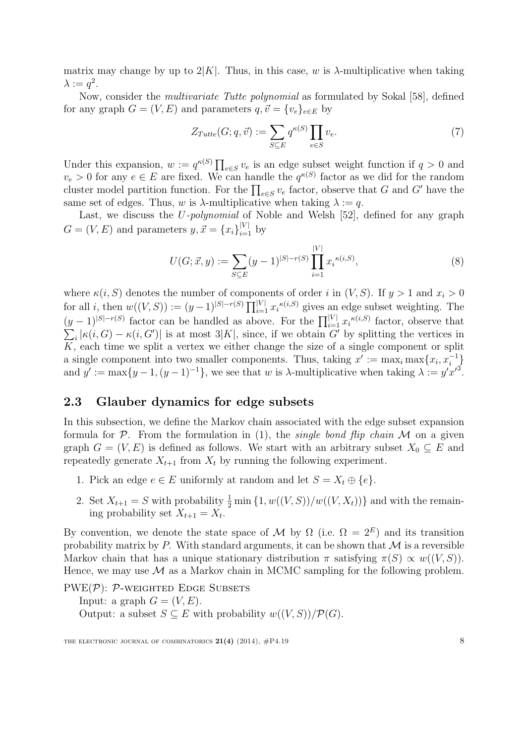matrix may change by up to  $2|K|$ . Thus, in this case, w is  $\lambda$ -multiplicative when taking  $\lambda := q^2$ .

Now, consider the multivariate Tutte polynomial as formulated by Sokal [\[58\]](#page-24-12), defined for any graph  $G = (V, E)$  and parameters  $q, \vec{v} = \{v_e\}_{e \in E}$  by

<span id="page-7-0"></span>
$$
Z_{Tutte}(G;q,\vec{v}) := \sum_{S \subseteq E} q^{\kappa(S)} \prod_{e \in S} v_e.
$$
 (7)

Under this expansion,  $w := q^{\kappa(S)} \prod_{e \in S} v_e$  is an edge subset weight function if  $q > 0$  and  $v_e > 0$  for any  $e \in E$  are fixed. We can handle the  $q^{\kappa(S)}$  factor as we did for the random cluster model partition function. For the  $\prod_{e \in S} v_e$  factor, observe that G and G' have the same set of edges. Thus, w is  $\lambda$ -multiplicative when taking  $\lambda := q$ .

Last, we discuss the *U-polynomial* of Noble and Welsh [\[52\]](#page-24-8), defined for any graph  $G = (V, E)$  and parameters  $y, \vec{x} = \{x_i\}_{i=1}^{|V|}$  by

<span id="page-7-1"></span>
$$
U(G; \vec{x}, y) := \sum_{S \subseteq E} (y - 1)^{|S| - r(S)} \prod_{i=1}^{|V|} x_i^{\kappa(i, S)},
$$
\n(8)

where  $\kappa(i, S)$  denotes the number of components of order i in  $(V, S)$ . If  $y > 1$  and  $x_i > 0$ for all *i*, then  $w((V, S)) := (y-1)^{|S|-r(S)} \prod_{i=1}^{|V|} x_i^{k(i, S)}$  gives an edge subset weighting. The  $(y-1)^{|S|-r(S)}$  factor can be handled as above. For the  $\prod_{i=1}^{|V|} x_i^{\kappa(i,S)}$  $\sum$ factor, observe that  $\kappa_i |\kappa(i, G) - \kappa(i, G')|$  is at most 3|K|, since, if we obtain G' by splitting the vertices in  $\overline{K}$ , each time we split a vertex we either change the size of a single component or split a single component into two smaller components. Thus, taking  $x' := \max_i \max\{x_i, x_i^{-1}\}\$ and  $y' := \max\{y-1, (y-1)^{-1}\}\$ , we see that w is  $\lambda$ -multiplicative when taking  $\lambda := y'x'^3$ .

### 2.3 Glauber dynamics for edge subsets

In this subsection, we define the Markov chain associated with the edge subset expansion formula for  $P$ . From the formulation in [\(1\)](#page-1-1), the *single bond flip chain*  $M$  on a given graph  $G = (V, E)$  is defined as follows. We start with an arbitrary subset  $X_0 \subseteq E$  and repeatedly generate  $X_{t+1}$  from  $X_t$  by running the following experiment.

- 1. Pick an edge  $e \in E$  uniformly at random and let  $S = X_t \oplus \{e\}.$
- 2. Set  $X_{t+1} = S$  with probability  $\frac{1}{2} \min\{1, w((V, S)) / w((V, X_t))\}$  and with the remaining probability set  $X_{t+1} = X_t$ .

By convention, we denote the state space of M by  $\Omega$  (i.e.  $\Omega = 2^E$ ) and its transition probability matrix by P. With standard arguments, it can be shown that  $\mathcal M$  is a reversible Markov chain that has a unique stationary distribution  $\pi$  satisfying  $\pi(S) \propto w((V, S))$ . Hence, we may use  $\mathcal M$  as a Markov chain in MCMC sampling for the following problem.

 $PWE(\mathcal{P})$ :  $\mathcal{P}-WEIGHTED$  Edge Subsets Input: a graph  $G = (V, E)$ . Output: a subset  $S \subseteq E$  with probability  $w((V, S))/\mathcal{P}(G)$ .

THE ELECTRONIC JOURNAL OF COMBINATORICS  $21(4)$  (2014),  $\#P4.19$  8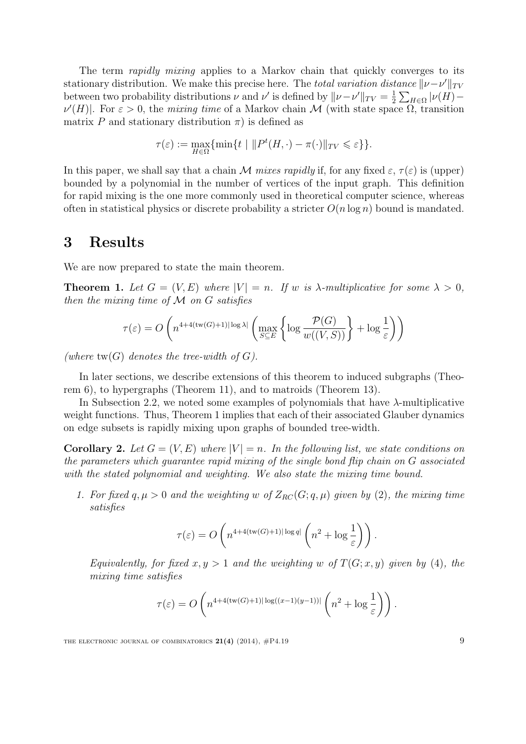The term *rapidly mixing* applies to a Markov chain that quickly converges to its stationary distribution. We make this precise here. The *total variation distance*  $\|\nu-\nu'\|_{TV}$ between two probability distributions  $\nu$  and  $\nu'$  is defined by  $\|\nu-\nu'\|_{TV}=\frac{1}{2}$  $\frac{1}{2}\sum_{H\in\Omega}|\nu(H) \nu'(H)$ . For  $\varepsilon > 0$ , the mixing time of a Markov chain M (with state space  $\Omega$ , transition matrix P and stationary distribution  $\pi$ ) is defined as

$$
\tau(\varepsilon) := \max_{H \in \Omega} \{ \min \{ t \mid ||P^t(H, \cdot) - \pi(\cdot)||_{TV} \leq \varepsilon \} \}.
$$

In this paper, we shall say that a chain M mixes rapidly if, for any fixed  $\varepsilon$ ,  $\tau(\varepsilon)$  is (upper) bounded by a polynomial in the number of vertices of the input graph. This definition for rapid mixing is the one more commonly used in theoretical computer science, whereas often in statistical physics or discrete probability a stricter  $O(n \log n)$  bound is mandated.

### <span id="page-8-1"></span>3 Results

We are now prepared to state the main theorem.

<span id="page-8-0"></span>**Theorem 1.** Let  $G = (V, E)$  where  $|V| = n$ . If w is  $\lambda$ -multiplicative for some  $\lambda > 0$ , then the mixing time of  $M$  on  $G$  satisfies

$$
\tau(\varepsilon) = O\left(n^{4+4(\text{tw}(G)+1)|\log \lambda|} \left(\max_{S \subseteq E} \left\{\log \frac{\mathcal{P}(G)}{w((V,S))}\right\} + \log \frac{1}{\varepsilon}\right)\right)
$$

(where  $tw(G)$  denotes the tree-width of G).

In later sections, we describe extensions of this theorem to induced subgraphs (Theorem [6\)](#page-13-0), to hypergraphs (Theorem [11\)](#page-17-1), and to matroids (Theorem [13\)](#page-20-0).

In Subsection [2.2,](#page-6-0) we noted some examples of polynomials that have  $\lambda$ -multiplicative weight functions. Thus, Theorem [1](#page-8-0) implies that each of their associated Glauber dynamics on edge subsets is rapidly mixing upon graphs of bounded tree-width.

**Corollary 2.** Let  $G = (V, E)$  where  $|V| = n$ . In the following list, we state conditions on the parameters which guarantee rapid mixing of the single bond flip chain on G associated with the stated polynomial and weighting. We also state the mixing time bound.

1. For fixed  $q, \mu > 0$  and the weighting w of  $Z_{RC}(G; q, \mu)$  given by [\(2\)](#page-1-2), the mixing time satisfies

$$
\tau(\varepsilon) = O\left(n^{4+4(\mathrm{tw}(G)+1)|\log q|} \left(n^2 + \log \frac{1}{\varepsilon}\right)\right).
$$

Equivalently, for fixed  $x, y > 1$  and the weighting w of  $T(G; x, y)$  given by [\(4\)](#page-3-2), the mixing time satisfies

$$
\tau(\varepsilon) = O\left(n^{4+4(\text{tw}(G)+1)|\log((x-1)(y-1))|}\left(n^2 + \log\frac{1}{\varepsilon}\right)\right).
$$

THE ELECTRONIC JOURNAL OF COMBINATORICS  $21(4)$  (2014),  $\#P4.19$  9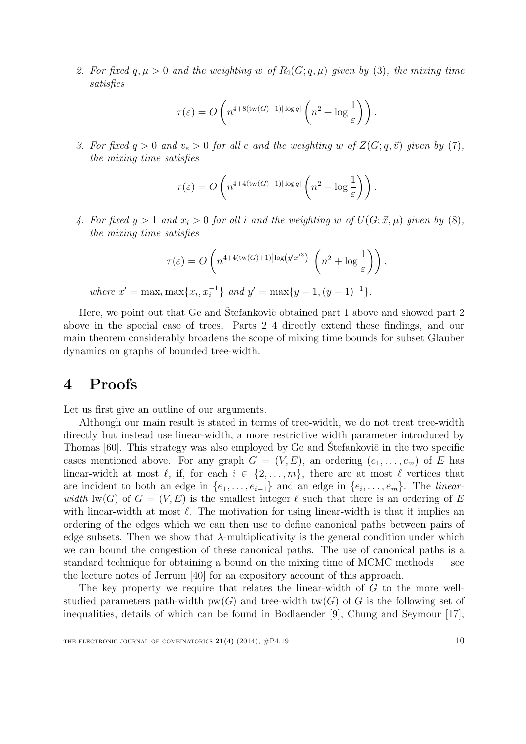2. For fixed q,  $\mu > 0$  and the weighting w of  $R_2(G; q, \mu)$  given by [\(3\)](#page-2-0), the mixing time satisfies

$$
\tau(\varepsilon) = O\left(n^{4+8(\text{tw}(G)+1)|\log q|}\left(n^2 + \log\frac{1}{\varepsilon}\right)\right).
$$

3. For fixed  $q > 0$  and  $v_e > 0$  for all e and the weighting w of  $Z(G; q, \vec{v})$  given by [\(7\)](#page-7-0), the mixing time satisfies

$$
\tau(\varepsilon) = O\left(n^{4+4(\text{tw}(G)+1)|\log q|}\left(n^2 + \log\frac{1}{\varepsilon}\right)\right).
$$

4. For fixed  $y > 1$  and  $x_i > 0$  for all i and the weighting w of  $U(G; \vec{x}, \mu)$  given by [\(8\)](#page-7-1), the mixing time satisfies

$$
\tau(\varepsilon) = O\left(n^{4+4(\text{tw}(G)+1)|\log(y'x'^3)|}\left(n^2 + \log\frac{1}{\varepsilon}\right)\right),\,
$$

where  $x' = \max_i \max\{x_i, x_i^{-1}\}\$  and  $y' = \max\{y - 1, (y - 1)^{-1}\}\.$ 

Here, we point out that Ge and Stefankovič obtained part 1 above and showed part 2 above in the special case of trees. Parts 2–4 directly extend these findings, and our main theorem considerably broadens the scope of mixing time bounds for subset Glauber dynamics on graphs of bounded tree-width.

### <span id="page-9-0"></span>4 Proofs

Let us first give an outline of our arguments.

Although our main result is stated in terms of tree-width, we do not treat tree-width directly but instead use linear-width, a more restrictive width parameter introduced by Thomas [\[60\]](#page-24-13). This strategy was also employed by Ge and Stefankovič in the two specific cases mentioned above. For any graph  $G = (V, E)$ , an ordering  $(e_1, \ldots, e_m)$  of E has linear-width at most  $\ell$ , if, for each  $i \in \{2, \ldots, m\}$ , there are at most  $\ell$  vertices that are incident to both an edge in  $\{e_1, \ldots, e_{i-1}\}\$  and an edge in  $\{e_i, \ldots, e_m\}\$ . The *linear*width  $\text{lw}(G)$  of  $G = (V, E)$  is the smallest integer  $\ell$  such that there is an ordering of E with linear-width at most  $\ell$ . The motivation for using linear-width is that it implies an ordering of the edges which we can then use to define canonical paths between pairs of edge subsets. Then we show that  $\lambda$ -multiplicativity is the general condition under which we can bound the congestion of these canonical paths. The use of canonical paths is a standard technique for obtaining a bound on the mixing time of MCMC methods — see the lecture notes of Jerrum [\[40\]](#page-23-1) for an expository account of this approach.

The key property we require that relates the linear-width of G to the more wellstudied parameters path-width  $pw(G)$  and tree-width tw(G) of G is the following set of inequalities, details of which can be found in Bodlaender [\[9\]](#page-21-11), Chung and Seymour [\[17\]](#page-22-12),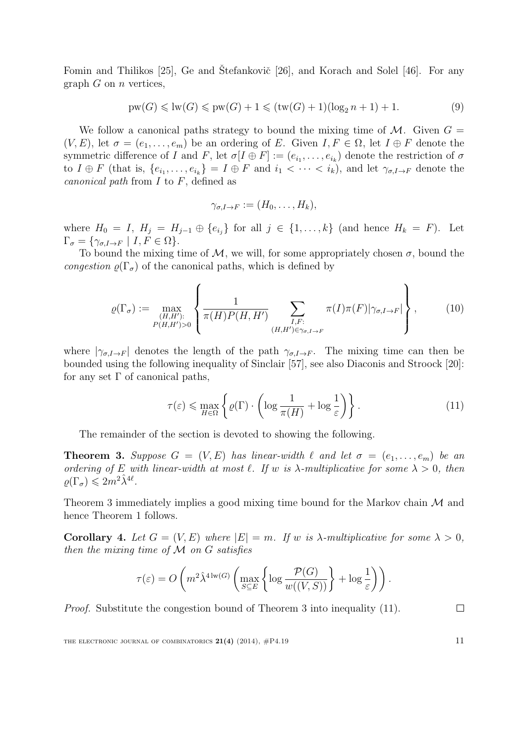Fomin and Thilikos  $[25]$ , Ge and Stefankovič  $[26]$  $[26]$ , and Korach and Solel  $[46]$ . For any graph  $G$  on  $n$  vertices,

$$
pw(G) \leq 1w(G) \leq pw(G) + 1 \leq (tw(G) + 1)(log_2 n + 1) + 1.
$$
 (9)

We follow a canonical paths strategy to bound the mixing time of  $\mathcal{M}$ . Given  $G =$  $(V, E)$ , let  $\sigma = (e_1, \ldots, e_m)$  be an ordering of E. Given  $I, F \in \Omega$ , let  $I \oplus F$  denote the symmetric difference of I and F, let  $\sigma[I \oplus F] := (e_{i_1}, \ldots, e_{i_k})$  denote the restriction of  $\sigma$ to  $I \oplus F$  (that is,  $\{e_{i_1}, \ldots, e_{i_k}\} = I \oplus F$  and  $i_1 < \cdots < i_k$ ), and let  $\gamma_{\sigma, I \to F}$  denote the *canonical path* from  $I$  to  $F$ , defined as

<span id="page-10-4"></span><span id="page-10-2"></span>
$$
\gamma_{\sigma,I\to F}:=(H_0,\ldots,H_k),
$$

where  $H_0 = I$ ,  $H_j = H_{j-1} \oplus \{e_{i_j}\}\$  for all  $j \in \{1, ..., k\}$  (and hence  $H_k = F$ ). Let  $\Gamma_{\sigma} = \{ \gamma_{\sigma, I \to F} \mid I, F \in \Omega \}.$ 

To bound the mixing time of  $M$ , we will, for some appropriately chosen  $\sigma$ , bound the congestion  $\rho(\Gamma_{\sigma})$  of the canonical paths, which is defined by

$$
\varrho(\Gamma_{\sigma}) := \max_{\substack{(H, H'): \ P(H, H') > 0}} \left\{ \frac{1}{\pi(H)P(H, H')} \sum_{\substack{I, F: \ (H, H') \in \gamma_{\sigma, I \to F}}} \pi(I)\pi(F)|\gamma_{\sigma, I \to F}| \right\}, \tag{10}
$$

where  $|\gamma_{\sigma,I\to F}|$  denotes the length of the path  $\gamma_{\sigma,I\to F}$ . The mixing time can then be bounded using the following inequality of Sinclair [\[57\]](#page-24-14), see also Diaconis and Stroock [\[20\]](#page-22-14): for any set  $\Gamma$  of canonical paths,

$$
\tau(\varepsilon) \le \max_{H \in \Omega} \left\{ \varrho(\Gamma) \cdot \left( \log \frac{1}{\pi(H)} + \log \frac{1}{\varepsilon} \right) \right\}.
$$
 (11)

The remainder of the section is devoted to showing the following.

<span id="page-10-0"></span>**Theorem 3.** Suppose  $G = (V, E)$  has linear-width  $\ell$  and let  $\sigma = (e_1, \ldots, e_m)$  be an ordering of E with linear-width at most  $\ell$ . If w is  $\lambda$ -multiplicative for some  $\lambda > 0$ , then  $\rho(\Gamma_{\sigma}) \leqslant 2m^2\hat{\lambda}^{4\ell}.$ 

Theorem [3](#page-10-0) immediately implies a good mixing time bound for the Markov chain M and hence Theorem [1](#page-8-0) follows.

<span id="page-10-3"></span>Corollary 4. Let  $G = (V, E)$  where  $|E| = m$ . If w is  $\lambda$ -multiplicative for some  $\lambda > 0$ , then the mixing time of M on G satisfies

$$
\tau(\varepsilon) = O\left(m^2 \hat{\lambda}^{4 \log(G)} \left(\max_{S \subseteq E} \left\{ \log \frac{\mathcal{P}(G)}{w((V,S))} \right\} + \log \frac{1}{\varepsilon} \right)\right).
$$

Proof. Substitute the congestion bound of Theorem [3](#page-10-0) into inequality [\(11\)](#page-10-1).

THE ELECTRONIC JOURNAL OF COMBINATORICS  $21(4)$  (2014),  $\#P4.19$  11

<span id="page-10-1"></span>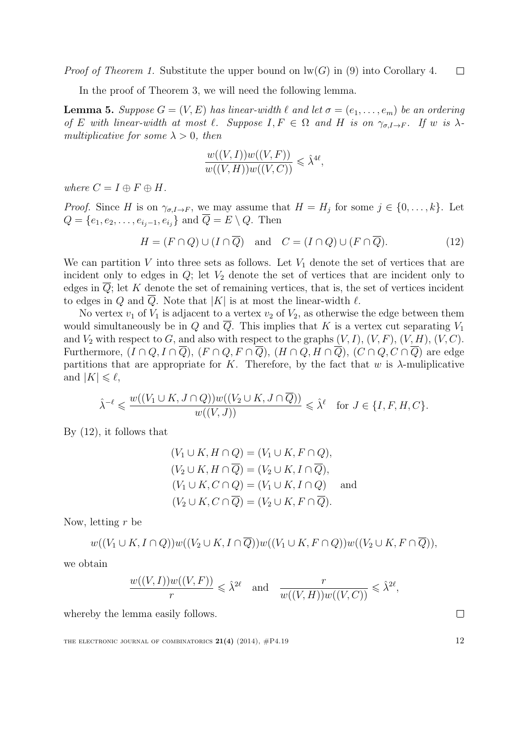*Proof of Theorem [1.](#page-8-0)* Substitute the upper bound on  $\text{lw}(G)$  in [\(9\)](#page-10-2) into Corollary [4.](#page-10-3)  $\Box$ 

In the proof of Theorem [3,](#page-10-0) we will need the following lemma.

<span id="page-11-1"></span>**Lemma 5.** Suppose  $G = (V, E)$  has linear-width  $\ell$  and let  $\sigma = (e_1, \ldots, e_m)$  be an ordering of E with linear-width at most  $\ell$ . Suppose  $I, F \in \Omega$  and H is on  $\gamma_{\sigma, I \to F}$ . If w is  $\lambda$ multiplicative for some  $\lambda > 0$ , then

<span id="page-11-0"></span>
$$
\frac{w((V, I))w((V, F))}{w((V, H))w((V, C))} \leq \lambda^{4\ell},
$$

where  $C = I \oplus F \oplus H$ .

*Proof.* Since H is on  $\gamma_{\sigma, I \to F}$ , we may assume that  $H = H_j$  for some  $j \in \{0, \ldots, k\}$ . Let  $Q = \{e_1, e_2, \ldots, e_{i_j-1}, e_{i_j}\}\$ and  $\overline{Q} = E \setminus Q$ . Then

$$
H = (F \cap Q) \cup (I \cap \overline{Q}) \quad \text{and} \quad C = (I \cap Q) \cup (F \cap \overline{Q}). \tag{12}
$$

We can partition V into three sets as follows. Let  $V_1$  denote the set of vertices that are incident only to edges in  $Q$ ; let  $V_2$  denote the set of vertices that are incident only to edges in  $\overline{Q}$ ; let K denote the set of remaining vertices, that is, the set of vertices incident to edges in Q and Q. Note that  $|K|$  is at most the linear-width  $\ell$ .

No vertex  $v_1$  of  $V_1$  is adjacent to a vertex  $v_2$  of  $V_2$ , as otherwise the edge between them would simultaneously be in Q and  $\overline{Q}$ . This implies that K is a vertex cut separating  $V_1$ and  $V_2$  with respect to G, and also with respect to the graphs  $(V, I)$ ,  $(V, F)$ ,  $(V, H)$ ,  $(V, C)$ . Furthermore,  $(I \cap Q, I \cap \overline{Q})$ ,  $(F \cap Q, F \cap \overline{Q})$ ,  $(H \cap Q, H \cap \overline{Q})$ ,  $(C \cap Q, C \cap \overline{Q})$  are edge partitions that are appropriate for K. Therefore, by the fact that w is  $\lambda$ -muliplicative and  $|K| \leqslant \ell$ ,

$$
\hat{\lambda}^{-\ell} \leqslant \frac{w((V_1 \cup K, J \cap Q))w((V_2 \cup K, J \cap Q))}{w((V, J))} \leqslant \hat{\lambda}^{\ell} \quad \text{for } J \in \{I, F, H, C\}.
$$

By [\(12\)](#page-11-0), it follows that

$$
(V_1 \cup K, H \cap Q) = (V_1 \cup K, F \cap Q),
$$
  
\n
$$
(V_2 \cup K, H \cap \overline{Q}) = (V_2 \cup K, I \cap \overline{Q}),
$$
  
\n
$$
(V_1 \cup K, C \cap Q) = (V_1 \cup K, I \cap Q) \text{ and}
$$
  
\n
$$
(V_2 \cup K, C \cap \overline{Q}) = (V_2 \cup K, F \cap \overline{Q}).
$$

Now, letting r be

$$
w((V_1 \cup K, I \cap Q))w((V_2 \cup K, I \cap \overline{Q}))w((V_1 \cup K, F \cap Q))w((V_2 \cup K, F \cap \overline{Q})),
$$

we obtain

$$
\frac{w((V, I))w((V, F))}{r} \leq \hat{\lambda}^{2\ell} \quad \text{and} \quad \frac{r}{w((V, H))w((V, C))} \leq \hat{\lambda}^{2\ell},
$$

whereby the lemma easily follows.

THE ELECTRONIC JOURNAL OF COMBINATORICS  $21(4)$  (2014),  $\#P4.19$  12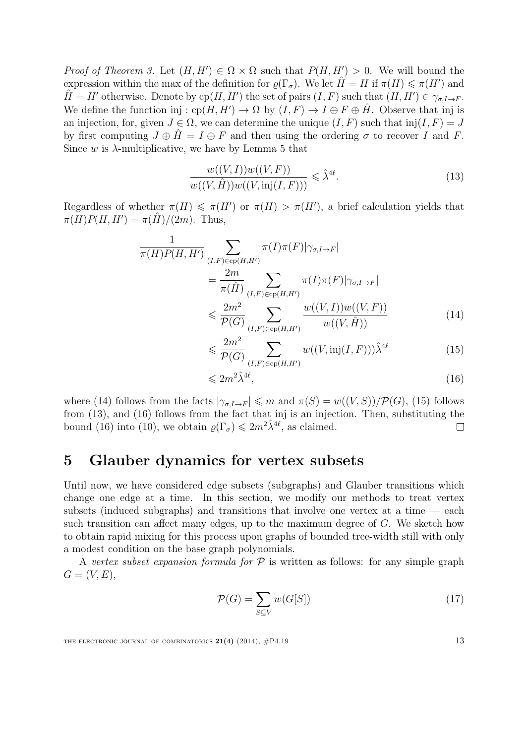*Proof of Theorem [3.](#page-10-0)* Let  $(H, H') \in \Omega \times \Omega$  such that  $P(H, H') > 0$ . We will bound the expression within the max of the definition for  $\varrho(\Gamma_{\sigma})$ . We let  $\hat{H} = H$  if  $\pi(H) \le \pi(H')$  and  $\hat{H} = H'$  otherwise. Denote by  $cp(H, H')$  the set of pairs  $(I, F)$  such that  $(H, H') \in \gamma_{\sigma, I \to F}$ . We define the function inj :  $cp(H, H') \to \Omega$  by  $(I, F) \to I \oplus F \oplus \hat{H}$ . Observe that inj is an injection, for, given  $J \in \Omega$ , we can determine the unique  $(I, F)$  such that  $\text{inj}(I, F) = J$ by first computing  $J \oplus H = I \oplus F$  and then using the ordering  $\sigma$  to recover I and F. Since w is  $\lambda$ -multiplicative, we have by Lemma [5](#page-11-1) that

<span id="page-12-3"></span>
$$
\frac{w((V, I))w((V, F))}{w((V, \hat{H}))w((V, \text{inj}(I, F)))} \leq \hat{\lambda}^{4\ell}.
$$
\n(13)

Regardless of whether  $\pi(H) \leq \pi(H')$  or  $\pi(H) > \pi(H')$ , a brief calculation yields that  $\pi(H)P(H, H') = \pi(\hat{H})/(2m)$ . Thus,

$$
\frac{1}{\pi(H)P(H,H')} \sum_{(I,F)\in\text{cp}(H,H')} \pi(I)\pi(F)|\gamma_{\sigma,I\to F}|
$$
\n
$$
= \frac{2m}{\pi(\hat{H})} \sum_{(I,F)\in\text{cp}(H,H')} \pi(I)\pi(F)|\gamma_{\sigma,I\to F}|
$$
\n
$$
\leq \frac{2m^2}{P(G)} \sum_{(I,F)\in\text{cp}(H,H')} \frac{w((V,I))w((V,F))}{w((V,\hat{H}))}
$$
\n(14)

<span id="page-12-1"></span>
$$
\leqslant \frac{2m^2}{\mathcal{P}(G)} \sum_{(I,F)\in\text{cp}(H,H')} w((V,\text{inj}(I,F))) \hat{\lambda}^{4\ell} \tag{15}
$$

<span id="page-12-4"></span><span id="page-12-2"></span>
$$
\leqslant 2m^2\hat{\lambda}^{4\ell},\tag{16}
$$

where [\(14\)](#page-12-1) follows from the facts  $|\gamma_{\sigma I\to F}| \leq m$  and  $\pi(S) = w((V, S))/\mathcal{P}(G)$ , [\(15\)](#page-12-2) follows from [\(13\)](#page-12-3), and [\(16\)](#page-12-4) follows from the fact that inj is an injection. Then, substituting the bound [\(16\)](#page-12-4) into [\(10\)](#page-10-4), we obtain  $\rho(\Gamma_{\sigma}) \leq 2m^2\hat{\lambda}^{4\ell}$ , as claimed.  $\Box$ 

# <span id="page-12-0"></span>5 Glauber dynamics for vertex subsets

Until now, we have considered edge subsets (subgraphs) and Glauber transitions which change one edge at a time. In this section, we modify our methods to treat vertex subsets (induced subgraphs) and transitions that involve one vertex at a time  $-$  each such transition can affect many edges, up to the maximum degree of  $G$ . We sketch how to obtain rapid mixing for this process upon graphs of bounded tree-width still with only a modest condition on the base graph polynomials.

A vertex subset expansion formula for  $P$  is written as follows: for any simple graph  $G = (V, E),$ 

$$
\mathcal{P}(G) = \sum_{S \subseteq V} w(G[S]) \tag{17}
$$

THE ELECTRONIC JOURNAL OF COMBINATORICS  $21(4)$  (2014),  $\#P4.19$  13

<span id="page-12-5"></span>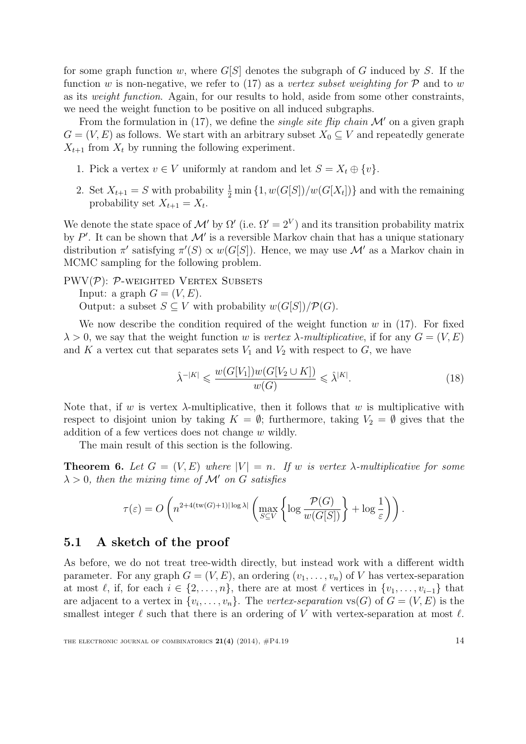for some graph function w, where  $G[S]$  denotes the subgraph of G induced by S. If the function w is non-negative, we refer to [\(17\)](#page-12-5) as a vertex subset weighting for  $\mathcal P$  and to w as its weight function. Again, for our results to hold, aside from some other constraints, we need the weight function to be positive on all induced subgraphs.

From the formulation in [\(17\)](#page-12-5), we define the *single site flip chain*  $\mathcal{M}'$  on a given graph  $G = (V, E)$  as follows. We start with an arbitrary subset  $X_0 \subseteq V$  and repeatedly generate  $X_{t+1}$  from  $X_t$  by running the following experiment.

- 1. Pick a vertex  $v \in V$  uniformly at random and let  $S = X_t \oplus \{v\}$ .
- 2. Set  $X_{t+1} = S$  with probability  $\frac{1}{2} \min\{1, w(G[S])/w(G[X_t])\}$  and with the remaining probability set  $X_{t+1} = X_t$ .

We denote the state space of M' by  $\Omega'$  (i.e.  $\Omega' = 2^V$ ) and its transition probability matrix by  $P'$ . It can be shown that  $\mathcal{M}'$  is a reversible Markov chain that has a unique stationary distribution  $\pi'$  satisfying  $\pi'(S) \propto w(G[S])$ . Hence, we may use M' as a Markov chain in MCMC sampling for the following problem.

PWV $(\mathcal{P})$ :  $\mathcal{P}$ -weighted Vertex Subsets

Input: a graph  $G = (V, E)$ .

Output: a subset  $S \subseteq V$  with probability  $w(G[S]) / \mathcal{P}(G)$ .

We now describe the condition required of the weight function w in  $(17)$ . For fixed  $\lambda > 0$ , we say that the weight function w is vertex  $\lambda$ -multiplicative, if for any  $G = (V, E)$ and K a vertex cut that separates sets  $V_1$  and  $V_2$  with respect to G, we have

$$
\hat{\lambda}^{-|K|} \leqslant \frac{w(G[V_1])w(G[V_2 \cup K])}{w(G)} \leqslant \hat{\lambda}^{|K|}.\tag{18}
$$

Note that, if w is vertex  $\lambda$ -multiplicative, then it follows that w is multiplicative with respect to disjoint union by taking  $K = \emptyset$ ; furthermore, taking  $V_2 = \emptyset$  gives that the addition of a few vertices does not change w wildly.

The main result of this section is the following.

<span id="page-13-0"></span>**Theorem 6.** Let  $G = (V, E)$  where  $|V| = n$ . If w is vertex  $\lambda$ -multiplicative for some  $\lambda > 0$ , then the mixing time of M' on G satisfies

$$
\tau(\varepsilon) = O\left(n^{2+4(\text{tw}(G)+1)|\log \lambda|} \left(\max_{S \subseteq V} \left\{\log \frac{\mathcal{P}(G)}{w(G[S])}\right\} + \log \frac{1}{\varepsilon}\right)\right).
$$

#### 5.1 A sketch of the proof

As before, we do not treat tree-width directly, but instead work with a different width parameter. For any graph  $G = (V, E)$ , an ordering  $(v_1, \ldots, v_n)$  of V has vertex-separation at most  $\ell$ , if, for each  $i \in \{2, \ldots, n\}$ , there are at most  $\ell$  vertices in  $\{v_1, \ldots, v_{i-1}\}\$  that are adjacent to a vertex in  $\{v_i, \ldots, v_n\}$ . The vertex-separation  $\text{vs}(G)$  of  $G = (V, E)$  is the smallest integer  $\ell$  such that there is an ordering of V with vertex-separation at most  $\ell$ .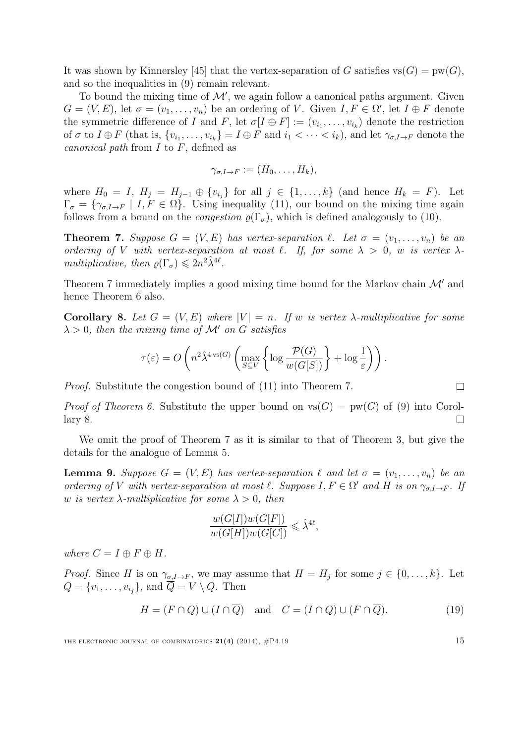It was shown by Kinnersley [\[45\]](#page-23-15) that the vertex-separation of G satisfies  $\text{vs}(G) = \text{pw}(G)$ , and so the inequalities in [\(9\)](#page-10-2) remain relevant.

To bound the mixing time of  $\mathcal{M}'$ , we again follow a canonical paths argument. Given  $G = (V, E)$ , let  $\sigma = (v_1, \ldots, v_n)$  be an ordering of V. Given  $I, F \in \Omega'$ , let  $I \oplus F$  denote the symmetric difference of I and F, let  $\sigma[I \oplus F] := (v_{i_1}, \ldots, v_{i_k})$  denote the restriction of  $\sigma$  to  $I \oplus F$  (that is,  $\{v_{i_1}, \ldots, v_{i_k}\} = I \oplus F$  and  $i_1 < \cdots < i_k$ ), and let  $\gamma_{\sigma, I \to F}$  denote the canonical path from  $I$  to  $F$ , defined as

$$
\gamma_{\sigma,I\to F}:=(H_0,\ldots,H_k),
$$

where  $H_0 = I$ ,  $H_j = H_{j-1} \oplus \{v_{i_j}\}\$  for all  $j \in \{1, ..., k\}$  (and hence  $H_k = F$ ). Let  $\Gamma_{\sigma} = {\gamma_{\sigma, I \to F} | I, F \in \Omega}.$  Using inequality [\(11\)](#page-10-1), our bound on the mixing time again follows from a bound on the *congestion*  $\rho(\Gamma_{\sigma})$ , which is defined analogously to [\(10\)](#page-10-4).

<span id="page-14-0"></span>**Theorem 7.** Suppose  $G = (V, E)$  has vertex-separation  $\ell$ . Let  $\sigma = (v_1, \ldots, v_n)$  be an ordering of V with vertex-separation at most  $\ell$ . If, for some  $\lambda > 0$ , w is vertex  $\lambda$ multiplicative, then  $\rho(\Gamma_{\sigma}) \leqslant 2n^2 \hat{\lambda}^{4\ell}$ .

Theorem [7](#page-14-0) immediately implies a good mixing time bound for the Markov chain  $\mathcal{M}'$  and hence Theorem [6](#page-13-0) also.

<span id="page-14-1"></span>Corollary 8. Let  $G = (V, E)$  where  $|V| = n$ . If w is vertex  $\lambda$ -multiplicative for some  $\lambda > 0$ , then the mixing time of M' on G satisfies

$$
\tau(\varepsilon) = O\left(n^2 \hat{\lambda}^{4 \text{ vs }(G)} \left(\max_{S \subseteq V} \left\{\log \frac{\mathcal{P}(G)}{w(G[S])}\right\} + \log \frac{1}{\varepsilon}\right)\right).
$$

Proof. Substitute the congestion bound of [\(11\)](#page-10-1) into Theorem [7.](#page-14-0)

*Proof of Theorem [6.](#page-13-0)* Substitute the upper bound on  $\text{vs}(G) = \text{pw}(G)$  of [\(9\)](#page-10-2) into Corollary [8.](#page-14-1)  $\Box$ 

We omit the proof of Theorem [7](#page-14-0) as it is similar to that of Theorem [3,](#page-10-0) but give the details for the analogue of Lemma [5.](#page-11-1)

**Lemma 9.** Suppose  $G = (V, E)$  has vertex-separation  $\ell$  and let  $\sigma = (v_1, \ldots, v_n)$  be an ordering of V with vertex-separation at most  $\ell$ . Suppose  $I, F \in \Omega'$  and  $H$  is on  $\gamma_{\sigma, I \to F}$ . If w is vertex  $\lambda$ -multiplicative for some  $\lambda > 0$ , then

<span id="page-14-2"></span>
$$
\frac{w(G[I])w(G[F])}{w(G[H])w(G[C])} \leq \hat{\lambda}^{4\ell},
$$

where  $C = I \oplus F \oplus H$ .

*Proof.* Since H is on  $\gamma_{\sigma, I \to F}$ , we may assume that  $H = H_j$  for some  $j \in \{0, \ldots, k\}$ . Let  $Q = \{v_1, \ldots, v_{i_j}\},\$ and  $Q = V \setminus Q$ . Then

$$
H = (F \cap Q) \cup (I \cap \overline{Q}) \quad \text{and} \quad C = (I \cap Q) \cup (F \cap \overline{Q}). \tag{19}
$$

THE ELECTRONIC JOURNAL OF COMBINATORICS  $21(4)$  (2014),  $\#P4.19$  15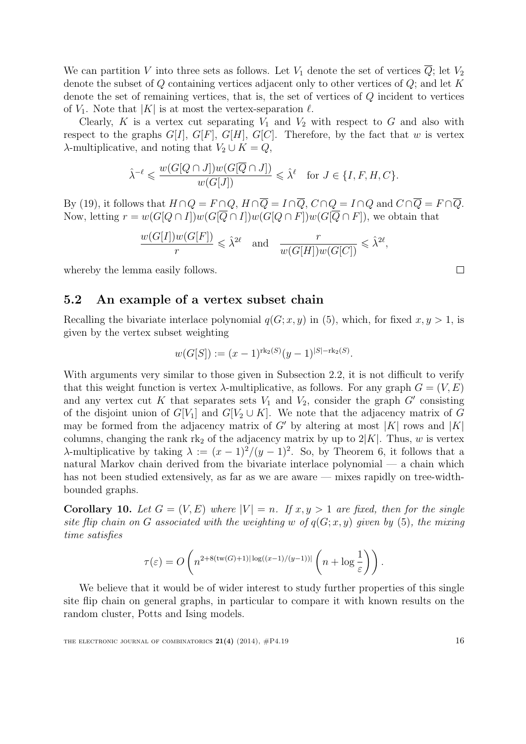We can partition V into three sets as follows. Let  $V_1$  denote the set of vertices  $\overline{Q}$ ; let  $V_2$ denote the subset of  $Q$  containing vertices adjacent only to other vertices of  $Q$ ; and let  $K$ denote the set of remaining vertices, that is, the set of vertices of Q incident to vertices of  $V_1$ . Note that  $|K|$  is at most the vertex-separation  $\ell$ .

Clearly, K is a vertex cut separating  $V_1$  and  $V_2$  with respect to G and also with respect to the graphs  $G[I], G[F], G[H], G[C]$ . Therefore, by the fact that w is vertex  $\lambda$ -multiplicative, and noting that  $V_2 \cup K = Q$ ,

$$
\hat{\lambda}^{-\ell} \leqslant \frac{w(G[Q \cap J])w(G[\overline{Q} \cap J])}{w(G[J])} \leqslant \hat{\lambda}^{\ell} \quad \text{for } J \in \{I, F, H, C\}.
$$

By [\(19\)](#page-14-2), it follows that  $H \cap Q = F \cap Q$ ,  $H \cap \overline{Q} = I \cap \overline{Q}$ ,  $C \cap Q = I \cap Q$  and  $C \cap \overline{Q} = F \cap \overline{Q}$ . Now, letting  $r = w(G[Q \cap I])w(G[\overline{Q} \cap I])w(G[Q \cap F])w(G[\overline{Q} \cap F])$ , we obtain that

$$
\frac{w(G[I])w(G[F])}{r} \leq \hat{\lambda}^{2\ell} \quad \text{and} \quad \frac{r}{w(G[H])w(G[C])} \leq \hat{\lambda}^{2\ell},
$$

whereby the lemma easily follows.

#### 5.2 An example of a vertex subset chain

Recalling the bivariate interlace polynomial  $q(G; x, y)$  in [\(5\)](#page-4-1), which, for fixed  $x, y > 1$ , is given by the vertex subset weighting

$$
w(G[S]) := (x-1)^{\mathrm{rk}_2(S)}(y-1)^{|S|-\mathrm{rk}_2(S)}.
$$

With arguments very similar to those given in Subsection [2.2,](#page-6-0) it is not difficult to verify that this weight function is vertex  $\lambda$ -multiplicative, as follows. For any graph  $G = (V, E)$ and any vertex cut K that separates sets  $V_1$  and  $V_2$ , consider the graph G' consisting of the disjoint union of  $G[V_1]$  and  $G[V_2 \cup K]$ . We note that the adjacency matrix of G may be formed from the adjacency matrix of G' by altering at most |K| rows and  $|K|$ columns, changing the rank rk<sub>2</sub> of the adjacency matrix by up to  $2|K|$ . Thus, w is vertex λ-multiplicative by taking  $\lambda := (x-1)^2/(y-1)^2$ . So, by Theorem [6,](#page-13-0) it follows that a natural Markov chain derived from the bivariate interlace polynomial — a chain which has not been studied extensively, as far as we are aware — mixes rapidly on tree-widthbounded graphs.

Corollary 10. Let  $G = (V, E)$  where  $|V| = n$ . If  $x, y > 1$  are fixed, then for the single site flip chain on G associated with the weighting w of  $q(G; x, y)$  given by [\(5\)](#page-4-1), the mixing time satisfies

$$
\tau(\varepsilon) = O\left(n^{2+8(\text{tw}(G)+1)|\log((x-1)/(y-1))|}\left(n+\log\frac{1}{\varepsilon}\right)\right).
$$

We believe that it would be of wider interest to study further properties of this single site flip chain on general graphs, in particular to compare it with known results on the random cluster, Potts and Ising models.

THE ELECTRONIC JOURNAL OF COMBINATORICS  $21(4)$  (2014),  $\#P4.19$  16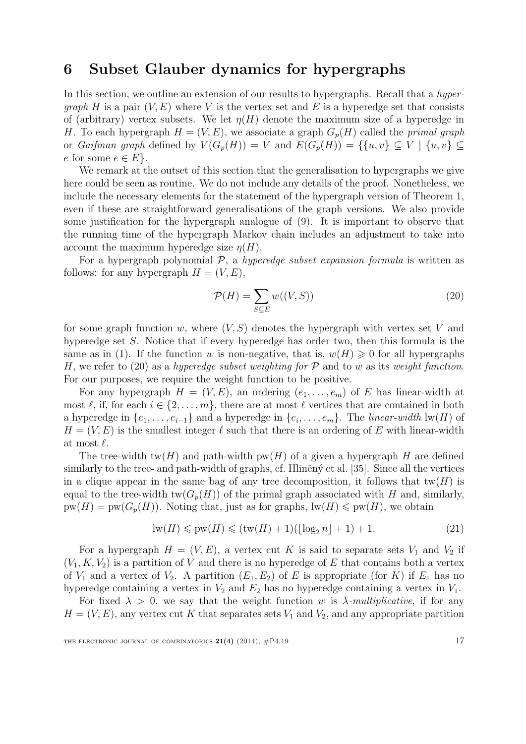# <span id="page-16-0"></span>6 Subset Glauber dynamics for hypergraphs

In this section, we outline an extension of our results to hypergraphs. Recall that a hyper*graph H* is a pair  $(V, E)$  where V is the vertex set and E is a hyperedge set that consists of (arbitrary) vertex subsets. We let  $\eta(H)$  denote the maximum size of a hyperedge in H. To each hypergraph  $H = (V, E)$ , we associate a graph  $G_p(H)$  called the *primal graph* or Gaifman graph defined by  $V(G_p(H)) = V$  and  $E(G_p(H)) = \{ \{u, v\} \subseteq V \mid \{u, v\} \subseteq$ e for some  $e \in E$ .

We remark at the outset of this section that the generalisation to hypergraphs we give here could be seen as routine. We do not include any details of the proof. Nonetheless, we include the necessary elements for the statement of the hypergraph version of Theorem [1,](#page-8-0) even if these are straightforward generalisations of the graph versions. We also provide some justification for the hypergraph analogue of [\(9\)](#page-10-2). It is important to observe that the running time of the hypergraph Markov chain includes an adjustment to take into account the maximum hyperedge size  $\eta(H)$ .

For a hypergraph polynomial  $P$ , a hyperedge subset expansion formula is written as follows: for any hypergraph  $H = (V, E)$ ,

<span id="page-16-1"></span>
$$
\mathcal{P}(H) = \sum_{S \subseteq E} w((V, S)) \tag{20}
$$

for some graph function w, where  $(V, S)$  denotes the hypergraph with vertex set V and hyperedge set S. Notice that if every hyperedge has order two, then this formula is the same as in [\(1\)](#page-1-1). If the function w is non-negative, that is,  $w(H) \geq 0$  for all hypergraphs H, we refer to [\(20\)](#page-16-1) as a hyperedge subset weighting for  $P$  and to w as its weight function. For our purposes, we require the weight function to be positive.

For any hypergraph  $H = (V, E)$ , an ordering  $(e_1, \ldots, e_m)$  of E has linear-width at most  $\ell$ , if, for each  $i \in \{2, \ldots, m\}$ , there are at most  $\ell$  vertices that are contained in both a hyperedge in  $\{e_1, \ldots, e_{i-1}\}\$  and a hyperedge in  $\{e_i, \ldots, e_m\}$ . The *linear-width* lw(*H*) of  $H = (V, E)$  is the smallest integer  $\ell$  such that there is an ordering of E with linear-width at most  $\ell$ .

The tree-width tw(H) and path-width  $pw(H)$  of a given a hypergraph H are defined similarly to the tree- and path-width of graphs, cf. Hliněn $\acute{\gamma}$  et al. [\[35\]](#page-23-10). Since all the vertices in a clique appear in the same bag of any tree decomposition, it follows that  $tw(H)$  is equal to the tree-width  $tw(G_p(H))$  of the primal graph associated with H and, similarly,  $pw(H) = pw(G_p(H))$ . Noting that, just as for graphs,  $lw(H) \leqslant pw(H)$ , we obtain

<span id="page-16-2"></span>
$$
\text{lw}(H) \leqslant \text{pw}(H) \leqslant (\text{tw}(H) + 1)(\lfloor \log_2 n \rfloor + 1) + 1. \tag{21}
$$

For a hypergraph  $H = (V, E)$ , a vertex cut K is said to separate sets  $V_1$  and  $V_2$  if  $(V_1, K, V_2)$  is a partition of V and there is no hyperedge of E that contains both a vertex of  $V_1$  and a vertex of  $V_2$ . A partition  $(E_1, E_2)$  of E is appropriate (for K) if  $E_1$  has no hyperedge containing a vertex in  $V_2$  and  $E_2$  has no hyperedge containing a vertex in  $V_1$ .

For fixed  $\lambda > 0$ , we say that the weight function w is  $\lambda$ -multiplicative, if for any  $H = (V, E)$ , any vertex cut K that separates sets  $V_1$  and  $V_2$ , and any appropriate partition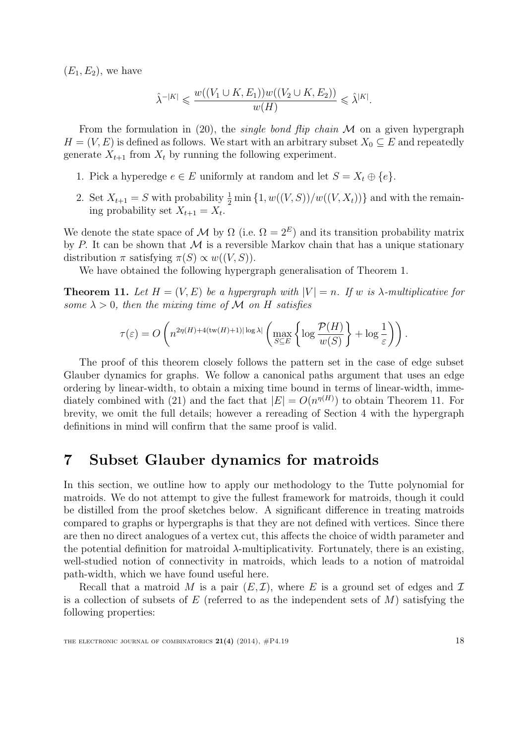$(E_1, E_2)$ , we have

$$
\hat{\lambda}^{-|K|} \leqslant \frac{w((V_1 \cup K, E_1))w((V_2 \cup K, E_2))}{w(H)} \leqslant \hat{\lambda}^{|K|}.
$$

From the formulation in [\(20\)](#page-16-1), the *single bond flip chain*  $M$  on a given hypergraph  $H = (V, E)$  is defined as follows. We start with an arbitrary subset  $X_0 \subseteq E$  and repeatedly generate  $X_{t+1}$  from  $X_t$  by running the following experiment.

- 1. Pick a hyperedge  $e \in E$  uniformly at random and let  $S = X_t \oplus \{e\}.$
- 2. Set  $X_{t+1} = S$  with probability  $\frac{1}{2} \min\{1, w((V, S)) / w((V, X_t))\}$  and with the remaining probability set  $X_{t+1} = X_t$ .

We denote the state space of M by  $\Omega$  (i.e.  $\Omega = 2^E$ ) and its transition probability matrix by P. It can be shown that  $\mathcal M$  is a reversible Markov chain that has a unique stationary distribution  $\pi$  satisfying  $\pi(S) \propto w((V, S))$ .

We have obtained the following hypergraph generalisation of Theorem [1.](#page-8-0)

<span id="page-17-1"></span>**Theorem 11.** Let  $H = (V, E)$  be a hypergraph with  $|V| = n$ . If w is  $\lambda$ -multiplicative for some  $\lambda > 0$ , then the mixing time of M on H satisfies

$$
\tau(\varepsilon) = O\left(n^{2\eta(H) + 4(\text{tw}(H) + 1)|\log \lambda|} \left(\max_{S \subseteq E} \left\{\log \frac{\mathcal{P}(H)}{w(S)}\right\} + \log \frac{1}{\varepsilon}\right)\right).
$$

The proof of this theorem closely follows the pattern set in the case of edge subset Glauber dynamics for graphs. We follow a canonical paths argument that uses an edge ordering by linear-width, to obtain a mixing time bound in terms of linear-width, imme-diately combined with [\(21\)](#page-16-2) and the fact that  $|E| = O(n^{\eta(H)})$  to obtain Theorem [11.](#page-17-1) For brevity, we omit the full details; however a rereading of Section [4](#page-9-0) with the hypergraph definitions in mind will confirm that the same proof is valid.

# <span id="page-17-0"></span>7 Subset Glauber dynamics for matroids

In this section, we outline how to apply our methodology to the Tutte polynomial for matroids. We do not attempt to give the fullest framework for matroids, though it could be distilled from the proof sketches below. A significant difference in treating matroids compared to graphs or hypergraphs is that they are not defined with vertices. Since there are then no direct analogues of a vertex cut, this affects the choice of width parameter and the potential definition for matroidal λ-multiplicativity. Fortunately, there is an existing, well-studied notion of connectivity in matroids, which leads to a notion of matroidal path-width, which we have found useful here.

Recall that a matroid M is a pair  $(E, \mathcal{I})$ , where E is a ground set of edges and  $\mathcal{I}$ is a collection of subsets of E (referred to as the independent sets of  $M$ ) satisfying the following properties: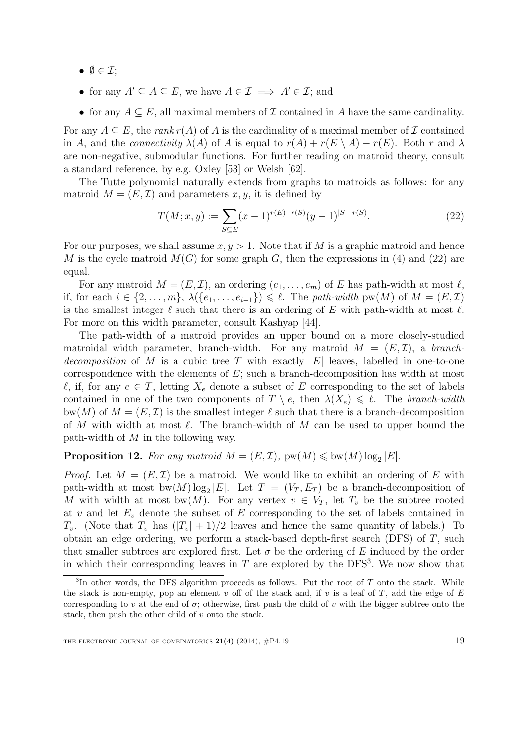- $\bullet \ \emptyset \in \mathcal{I};$
- for any  $A' \subseteq A \subseteq E$ , we have  $A \in \mathcal{I} \implies A' \in \mathcal{I}$ ; and
- for any  $A \subseteq E$ , all maximal members of  $\mathcal I$  contained in A have the same cardinality.

For any  $A \subseteq E$ , the *rank*  $r(A)$  of A is the cardinality of a maximal member of  $\mathcal I$  contained in A, and the *connectivity*  $\lambda(A)$  of A is equal to  $r(A) + r(E \setminus A) - r(E)$ . Both r and  $\lambda$ are non-negative, submodular functions. For further reading on matroid theory, consult a standard reference, by e.g. Oxley [\[53\]](#page-24-15) or Welsh [\[62\]](#page-24-11).

The Tutte polynomial naturally extends from graphs to matroids as follows: for any matroid  $M = (E, \mathcal{I})$  and parameters  $x, y$ , it is defined by

<span id="page-18-0"></span>
$$
T(M; x, y) := \sum_{S \subseteq E} (x - 1)^{r(E) - r(S)} (y - 1)^{|S| - r(S)}.
$$
\n(22)

For our purposes, we shall assume  $x, y > 1$ . Note that if M is a graphic matroid and hence M is the cycle matroid  $M(G)$  for some graph G, then the expressions in [\(4\)](#page-3-2) and [\(22\)](#page-18-0) are equal.

For any matroid  $M = (E, \mathcal{I})$ , an ordering  $(e_1, \ldots, e_m)$  of E has path-width at most  $\ell$ , if, for each  $i \in \{2,\ldots,m\}, \ \lambda(\{e_1,\ldots,e_{i-1}\}) \leq \ell$ . The path-width pw(M) of  $M = (E, \mathcal{I})$ is the smallest integer  $\ell$  such that there is an ordering of E with path-width at most  $\ell$ . For more on this width parameter, consult Kashyap [\[44\]](#page-23-16).

The path-width of a matroid provides an upper bound on a more closely-studied matroidal width parameter, branch-width. For any matroid  $M = (E, \mathcal{I})$ , a branchdecomposition of M is a cubic tree T with exactly  $|E|$  leaves, labelled in one-to-one correspondence with the elements of  $E$ ; such a branch-decomposition has width at most  $\ell$ , if, for any  $e \in T$ , letting  $X_e$  denote a subset of E corresponding to the set of labels contained in one of the two components of  $T \setminus e$ , then  $\lambda(X_e) \leq \ell$ . The branch-width bw(M) of  $M = (E, \mathcal{I})$  is the smallest integer  $\ell$  such that there is a branch-decomposition of M with width at most  $\ell$ . The branch-width of M can be used to upper bound the path-width of M in the following way.

# <span id="page-18-2"></span>**Proposition 12.** For any matroid  $M = (E, \mathcal{I})$ ,  $pw(M) \leqslant bw(M) \log_2 |E|$ .

*Proof.* Let  $M = (E, \mathcal{I})$  be a matroid. We would like to exhibit an ordering of E with path-width at most  $bw(M) \log_2 |E|$ . Let  $T = (V_T, E_T)$  be a branch-decomposition of M with width at most bw(M). For any vertex  $v \in V_T$ , let  $T_v$  be the subtree rooted at v and let  $E_v$  denote the subset of E corresponding to the set of labels contained in  $T_v$ . (Note that  $T_v$  has  $(|T_v| + 1)/2$  leaves and hence the same quantity of labels.) To obtain an edge ordering, we perform a stack-based depth-first search (DFS) of  $T$ , such that smaller subtrees are explored first. Let  $\sigma$  be the ordering of E induced by the order in which their corresponding leaves in  $T$  are explored by the DFS<sup>[3](#page-18-1)</sup>. We now show that

<span id="page-18-1"></span> ${}^{3}$ In other words, the DFS algorithm proceeds as follows. Put the root of T onto the stack. While the stack is non-empty, pop an element  $v$  off of the stack and, if  $v$  is a leaf of  $T$ , add the edge of  $E$ corresponding to v at the end of  $\sigma$ ; otherwise, first push the child of v with the bigger subtree onto the stack, then push the other child of v onto the stack.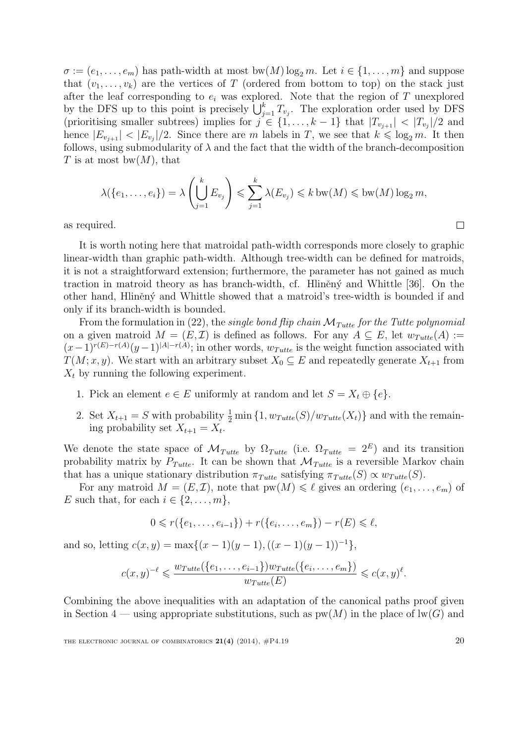$\sigma := (e_1, \ldots, e_m)$  has path-width at most bw $(M) \log_2 m$ . Let  $i \in \{1, \ldots, m\}$  and suppose that  $(v_1, \ldots, v_k)$  are the vertices of T (ordered from bottom to top) on the stack just after the leaf corresponding to  $e_i$  was explored. Note that the region of T unexplored by the DFS up to this point is precisely  $\bigcup_{j=1}^{k} T_{v_j}$ . The exploration order used by DFS (prioritising smaller subtrees) implies for  $j \in \{1, \ldots, k-1\}$  that  $|T_{v_{j+1}}| < |T_{v_j}|/2$  and hence  $|E_{v_{j+1}}| < |E_{v_j}|/2$ . Since there are m labels in T, we see that  $k \leq \log_2 m$ . It then follows, using submodularity of  $\lambda$  and the fact that the width of the branch-decomposition T is at most bw $(M)$ , that

$$
\lambda(\{e_1,\ldots,e_i\}) = \lambda\left(\bigcup_{j=1}^k E_{v_j}\right) \leqslant \sum_{j=1}^k \lambda(E_{v_j}) \leqslant k \text{ bw}(M) \leqslant \text{ bw}(M) \text{ log}_2 m,
$$

as required.

It is worth noting here that matroidal path-width corresponds more closely to graphic linear-width than graphic path-width. Although tree-width can be defined for matroids, it is not a straightforward extension; furthermore, the parameter has not gained as much traction in matroid theory as has branch-width, cf. Hliněný and Whittle [\[36\]](#page-23-17). On the other hand, Hliněný and Whittle showed that a matroid's tree-width is bounded if and only if its branch-width is bounded.

From the formulation in [\(22\)](#page-18-0), the *single bond flip chain*  $\mathcal{M}_{Tutte}$  for the Tutte polynomial on a given matroid  $M = (E, \mathcal{I})$  is defined as follows. For any  $A \subseteq E$ , let  $w_{Tutte}(A) :=$  $(x-1)^{r(E)-r(A)}(y-1)^{|A|-r(A)}$ ; in other words,  $w_{Tutte}$  is the weight function associated with  $T(M; x, y)$ . We start with an arbitrary subset  $X_0 \subseteq E$  and repeatedly generate  $X_{t+1}$  from  $X_t$  by running the following experiment.

- 1. Pick an element  $e \in E$  uniformly at random and let  $S = X_t \oplus \{e\}$ .
- 2. Set  $X_{t+1} = S$  with probability  $\frac{1}{2} \min\{1, w_{Tutte}(S)/w_{Tutte}(X_t)\}\)$  and with the remaining probability set  $X_{t+1} = X_t$ .

We denote the state space of  $\mathcal{M}_{Tutte}$  by  $\Omega_{Tutte}$  (i.e.  $\Omega_{Tutte} = 2^E$ ) and its transition probability matrix by  $P_{Tutte}$ . It can be shown that  $\mathcal{M}_{Tutte}$  is a reversible Markov chain that has a unique stationary distribution  $\pi_{Tutte}$  satisfying  $\pi_{Tutte}(S) \propto w_{Tutte}(S)$ .

For any matroid  $M = (E, \mathcal{I})$ , note that  $pw(M) \leq \ell$  gives an ordering  $(e_1, \ldots, e_m)$  of E such that, for each  $i \in \{2, \ldots, m\}$ ,

$$
0 \leq r({e_1, ..., e_{i-1}}) + r({e_i, ..., e_m}) - r(E) \leq \ell,
$$

and so, letting  $c(x, y) = \max\{(x - 1)(y - 1), ((x - 1)(y - 1))^{-1}\},$ 

$$
c(x,y)^{-\ell} \leq \frac{w_{Tutte}(\{e_1,\ldots,e_{i-1}\})w_{Tutte}(\{e_i,\ldots,e_m\})}{w_{Tutte}(E)} \leqslant c(x,y)^{\ell}.
$$

Combining the above inequalities with an adaptation of the canonical paths proof given in Section [4](#page-9-0) — using appropriate substitutions, such as  $pw(M)$  in the place of  $lw(G)$  and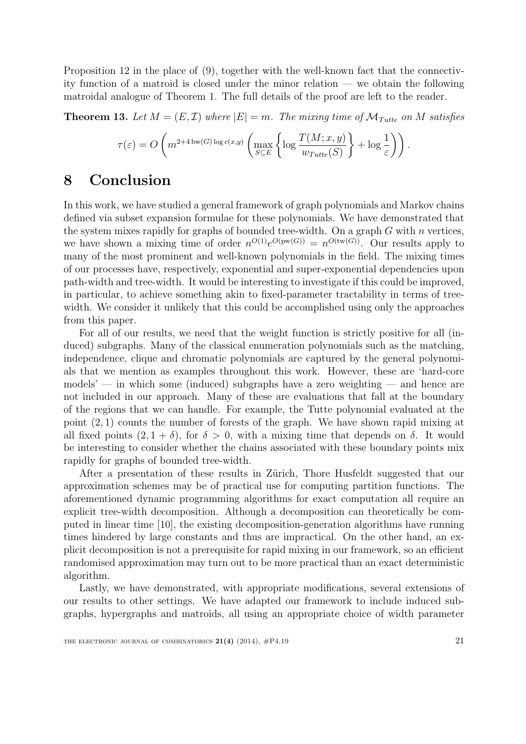Proposition [12](#page-18-2) in the place of [\(9\)](#page-10-2), together with the well-known fact that the connectivity function of a matroid is closed under the minor relation — we obtain the following matroidal analogue of Theorem [1.](#page-8-0) The full details of the proof are left to the reader.

<span id="page-20-0"></span>**Theorem 13.** Let  $M = (E, \mathcal{I})$  where  $|E| = m$ . The mixing time of  $\mathcal{M}_{Tutte}$  on M satisfies

$$
\tau(\varepsilon) = O\left(m^{2+4 \text{ bw}(G) \log c(x,y)} \left(\max_{S \subseteq E} \left\{\log \frac{T(M; x, y)}{w_{Tutte}(S)}\right\} + \log \frac{1}{\varepsilon}\right)\right).
$$

# 8 Conclusion

In this work, we have studied a general framework of graph polynomials and Markov chains defined via subset expansion formulae for these polynomials. We have demonstrated that the system mixes rapidly for graphs of bounded tree-width. On a graph  $G$  with  $n$  vertices, we have shown a mixing time of order  $n^{O(1)}e^{O(pw(G))} = n^{O(tw(G))}$ . Our results apply to many of the most prominent and well-known polynomials in the field. The mixing times of our processes have, respectively, exponential and super-exponential dependencies upon path-width and tree-width. It would be interesting to investigate if this could be improved, in particular, to achieve something akin to fixed-parameter tractability in terms of treewidth. We consider it unlikely that this could be accomplished using only the approaches from this paper.

For all of our results, we need that the weight function is strictly positive for all (induced) subgraphs. Many of the classical enumeration polynomials such as the matching, independence, clique and chromatic polynomials are captured by the general polynomials that we mention as examples throughout this work. However, these are 'hard-core  $models'$  — in which some (induced) subgraphs have a zero weighting — and hence are not included in our approach. Many of these are evaluations that fall at the boundary of the regions that we can handle. For example, the Tutte polynomial evaluated at the point (2, 1) counts the number of forests of the graph. We have shown rapid mixing at all fixed points  $(2, 1 + \delta)$ , for  $\delta > 0$ , with a mixing time that depends on  $\delta$ . It would be interesting to consider whether the chains associated with these boundary points mix rapidly for graphs of bounded tree-width.

After a presentation of these results in Zürich, Thore Husfeldt suggested that our approximation schemes may be of practical use for computing partition functions. The aforementioned dynamic programming algorithms for exact computation all require an explicit tree-width decomposition. Although a decomposition can theoretically be computed in linear time [\[10\]](#page-21-12), the existing decomposition-generation algorithms have running times hindered by large constants and thus are impractical. On the other hand, an explicit decomposition is not a prerequisite for rapid mixing in our framework, so an efficient randomised approximation may turn out to be more practical than an exact deterministic algorithm.

Lastly, we have demonstrated, with appropriate modifications, several extensions of our results to other settings. We have adapted our framework to include induced subgraphs, hypergraphs and matroids, all using an appropriate choice of width parameter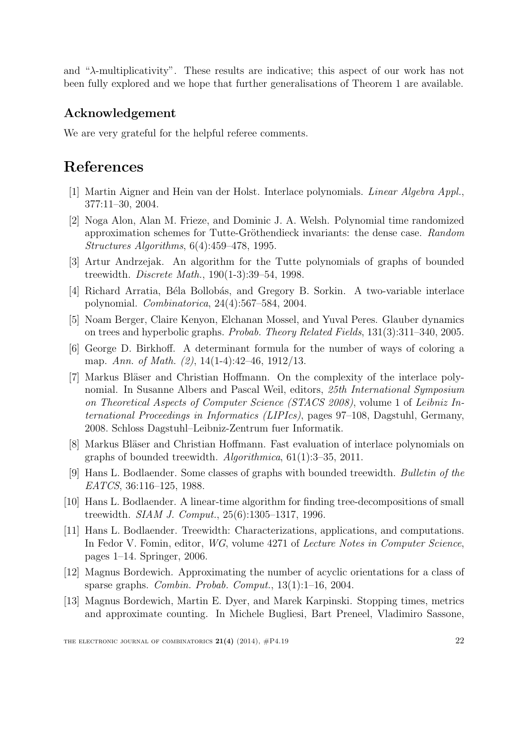and "λ-multiplicativity". These results are indicative; this aspect of our work has not been fully explored and we hope that further generalisations of Theorem [1](#page-8-0) are available.

### Acknowledgement

We are very grateful for the helpful referee comments.

# References

- <span id="page-21-7"></span>[1] Martin Aigner and Hein van der Holst. Interlace polynomials. Linear Algebra Appl., 377:11–30, 2004.
- <span id="page-21-1"></span>[2] Noga Alon, Alan M. Frieze, and Dominic J. A. Welsh. Polynomial time randomized approximation schemes for Tutte-Gröthendieck invariants: the dense case. Random Structures Algorithms, 6(4):459–478, 1995.
- <span id="page-21-4"></span>[3] Artur Andrzejak. An algorithm for the Tutte polynomials of graphs of bounded treewidth. Discrete Math., 190(1-3):39–54, 1998.
- <span id="page-21-6"></span>[4] Richard Arratia, Béla Bollobás, and Gregory B. Sorkin. A two-variable interlace polynomial. Combinatorica, 24(4):567–584, 2004.
- <span id="page-21-5"></span>[5] Noam Berger, Claire Kenyon, Elchanan Mossel, and Yuval Peres. Glauber dynamics on trees and hyperbolic graphs. Probab. Theory Related Fields, 131(3):311–340, 2005.
- <span id="page-21-0"></span>[6] George D. Birkhoff. A determinant formula for the number of ways of coloring a map. Ann. of Math. (2), 14(1-4):42-46, 1912/13.
- <span id="page-21-8"></span>[7] Markus Bläser and Christian Hoffmann. On the complexity of the interlace polynomial. In Susanne Albers and Pascal Weil, editors, 25th International Symposium on Theoretical Aspects of Computer Science (STACS 2008), volume 1 of Leibniz International Proceedings in Informatics (LIPIcs), pages 97–108, Dagstuhl, Germany, 2008. Schloss Dagstuhl–Leibniz-Zentrum fuer Informatik.
- <span id="page-21-9"></span>[8] Markus Bläser and Christian Hoffmann. Fast evaluation of interlace polynomials on graphs of bounded treewidth. Algorithmica, 61(1):3–35, 2011.
- <span id="page-21-11"></span>[9] Hans L. Bodlaender. Some classes of graphs with bounded treewidth. Bulletin of the EATCS, 36:116–125, 1988.
- <span id="page-21-12"></span>[10] Hans L. Bodlaender. A linear-time algorithm for finding tree-decompositions of small treewidth. SIAM J. Comput., 25(6):1305–1317, 1996.
- <span id="page-21-3"></span>[11] Hans L. Bodlaender. Treewidth: Characterizations, applications, and computations. In Fedor V. Fomin, editor, WG, volume 4271 of Lecture Notes in Computer Science, pages 1–14. Springer, 2006.
- <span id="page-21-2"></span>[12] Magnus Bordewich. Approximating the number of acyclic orientations for a class of sparse graphs. Combin. Probab. Comput., 13(1):1–16, 2004.
- <span id="page-21-10"></span>[13] Magnus Bordewich, Martin E. Dyer, and Marek Karpinski. Stopping times, metrics and approximate counting. In Michele Bugliesi, Bart Preneel, Vladimiro Sassone,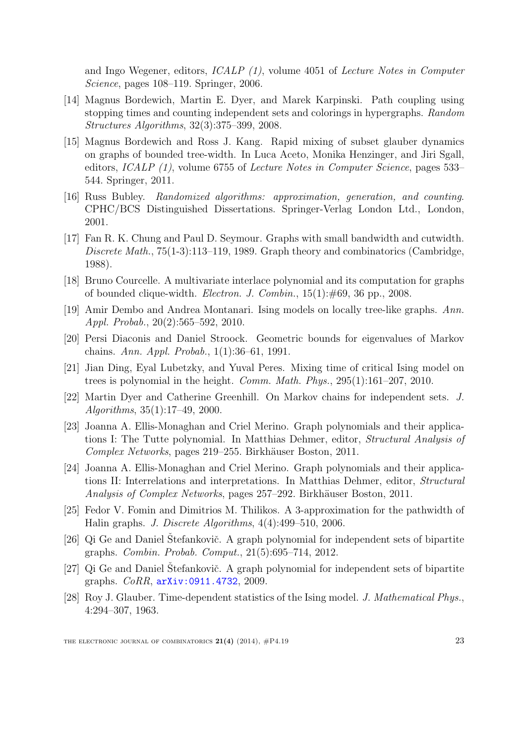and Ingo Wegener, editors, ICALP (1), volume 4051 of Lecture Notes in Computer Science, pages 108–119. Springer, 2006.

- <span id="page-22-9"></span>[14] Magnus Bordewich, Martin E. Dyer, and Marek Karpinski. Path coupling using stopping times and counting independent sets and colorings in hypergraphs. Random Structures Algorithms, 32(3):375–399, 2008.
- <span id="page-22-0"></span>[15] Magnus Bordewich and Ross J. Kang. Rapid mixing of subset glauber dynamics on graphs of bounded tree-width. In Luca Aceto, Monika Henzinger, and Jiri Sgall, editors, ICALP (1), volume 6755 of Lecture Notes in Computer Science, pages 533– 544. Springer, 2011.
- <span id="page-22-10"></span>[16] Russ Bubley. Randomized algorithms: approximation, generation, and counting. CPHC/BCS Distinguished Dissertations. Springer-Verlag London Ltd., London, 2001.
- <span id="page-22-12"></span>[17] Fan R. K. Chung and Paul D. Seymour. Graphs with small bandwidth and cutwidth. Discrete Math., 75(1-3):113–119, 1989. Graph theory and combinatorics (Cambridge, 1988).
- <span id="page-22-8"></span>[18] Bruno Courcelle. A multivariate interlace polynomial and its computation for graphs of bounded clique-width. Electron. J. Combin., 15(1):#69, 36 pp., 2008.
- <span id="page-22-6"></span>[19] Amir Dembo and Andrea Montanari. Ising models on locally tree-like graphs. Ann. Appl. Probab., 20(2):565–592, 2010.
- <span id="page-22-14"></span>[20] Persi Diaconis and Daniel Stroock. Geometric bounds for eigenvalues of Markov chains. Ann. Appl. Probab., 1(1):36–61, 1991.
- <span id="page-22-7"></span>[21] Jian Ding, Eyal Lubetzky, and Yuval Peres. Mixing time of critical Ising model on trees is polynomial in the height. Comm. Math. Phys., 295(1):161–207, 2010.
- <span id="page-22-11"></span>[22] Martin Dyer and Catherine Greenhill. On Markov chains for independent sets. J. Algorithms, 35(1):17–49, 2000.
- <span id="page-22-4"></span>[23] Joanna A. Ellis-Monaghan and Criel Merino. Graph polynomials and their applications I: The Tutte polynomial. In Matthias Dehmer, editor, Structural Analysis of Complex Networks, pages 219–255. Birkhäuser Boston, 2011.
- <span id="page-22-5"></span>[24] Joanna A. Ellis-Monaghan and Criel Merino. Graph polynomials and their applications II: Interrelations and interpretations. In Matthias Dehmer, editor, Structural Analysis of Complex Networks, pages 257–292. Birkhäuser Boston, 2011.
- <span id="page-22-13"></span>[25] Fedor V. Fomin and Dimitrios M. Thilikos. A 3-approximation for the pathwidth of Halin graphs. J. Discrete Algorithms, 4(4):499–510, 2006.
- <span id="page-22-2"></span>[26] Qi Ge and Daniel Štefankovič. A graph polynomial for independent sets of bipartite graphs. Combin. Probab. Comput., 21(5):695–714, 2012.
- <span id="page-22-3"></span>[27] Qi Ge and Daniel Štefankovič. A graph polynomial for independent sets of bipartite graphs. CoRR, [arXiv:0911.4732](http://arxiv.org/abs/0911.4732), 2009.
- <span id="page-22-1"></span>[28] Roy J. Glauber. Time-dependent statistics of the Ising model. J. Mathematical Phys., 4:294–307, 1963.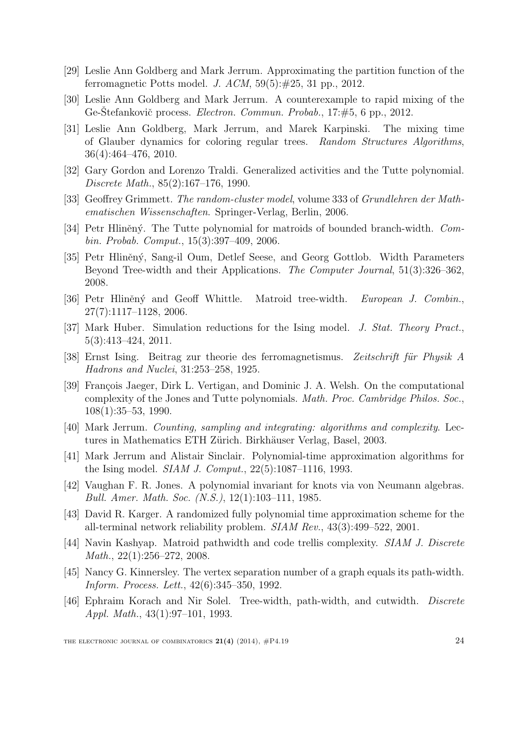- <span id="page-23-7"></span>[29] Leslie Ann Goldberg and Mark Jerrum. Approximating the partition function of the ferromagnetic Potts model. J.  $ACM$ ,  $59(5): \#25$ , 31 pp., 2012.
- <span id="page-23-3"></span>[30] Leslie Ann Goldberg and Mark Jerrum. A counterexample to rapid mixing of the Ge-Stefankovič process. *Electron. Commun. Probab.*, 17:#5, 6 pp., 2012.
- <span id="page-23-12"></span>[31] Leslie Ann Goldberg, Mark Jerrum, and Marek Karpinski. The mixing time of Glauber dynamics for coloring regular trees. Random Structures Algorithms, 36(4):464–476, 2010.
- <span id="page-23-2"></span>[32] Gary Gordon and Lorenzo Traldi. Generalized activities and the Tutte polynomial. Discrete Math., 85(2):167–176, 1990.
- <span id="page-23-0"></span>[33] Geoffrey Grimmett. The random-cluster model, volume 333 of Grundlehren der Mathematischen Wissenschaften. Springer-Verlag, Berlin, 2006.
- <span id="page-23-13"></span>[34] Petr Hliněný. The Tutte polynomial for matroids of bounded branch-width. Combin. Probab. Comput., 15(3):397–409, 2006.
- <span id="page-23-10"></span>[35] Petr Hliněný, Sang-il Oum, Detlef Seese, and Georg Gottlob. Width Parameters Beyond Tree-width and their Applications. The Computer Journal, 51(3):326–362, 2008.
- <span id="page-23-17"></span>[36] Petr Hliněný and Geoff Whittle. Matroid tree-width. European J. Combin., 27(7):1117–1128, 2006.
- <span id="page-23-11"></span>[37] Mark Huber. Simulation reductions for the Ising model. J. Stat. Theory Pract., 5(3):413–424, 2011.
- <span id="page-23-5"></span>[38] Ernst Ising. Beitrag zur theorie des ferromagnetismus. Zeitschrift für Physik A Hadrons and Nuclei, 31:253–258, 1925.
- <span id="page-23-6"></span>[39] François Jaeger, Dirk L. Vertigan, and Dominic J. A. Welsh. On the computational complexity of the Jones and Tutte polynomials. Math. Proc. Cambridge Philos. Soc., 108(1):35–53, 1990.
- <span id="page-23-1"></span>[40] Mark Jerrum. Counting, sampling and integrating: algorithms and complexity. Lectures in Mathematics ETH Zürich. Birkhäuser Verlag, Basel, 2003.
- <span id="page-23-8"></span>[41] Mark Jerrum and Alistair Sinclair. Polynomial-time approximation algorithms for the Ising model. SIAM J. Comput., 22(5):1087–1116, 1993.
- <span id="page-23-4"></span>[42] Vaughan F. R. Jones. A polynomial invariant for knots via von Neumann algebras. Bull. Amer. Math. Soc. (N.S.), 12(1):103–111, 1985.
- <span id="page-23-9"></span>[43] David R. Karger. A randomized fully polynomial time approximation scheme for the all-terminal network reliability problem. SIAM Rev., 43(3):499–522, 2001.
- <span id="page-23-16"></span>[44] Navin Kashyap. Matroid pathwidth and code trellis complexity. SIAM J. Discrete Math., 22(1):256–272, 2008.
- <span id="page-23-15"></span>[45] Nancy G. Kinnersley. The vertex separation number of a graph equals its path-width. Inform. Process. Lett., 42(6):345–350, 1992.
- <span id="page-23-14"></span>[46] Ephraim Korach and Nir Solel. Tree-width, path-width, and cutwidth. Discrete Appl. Math., 43(1):97–101, 1993.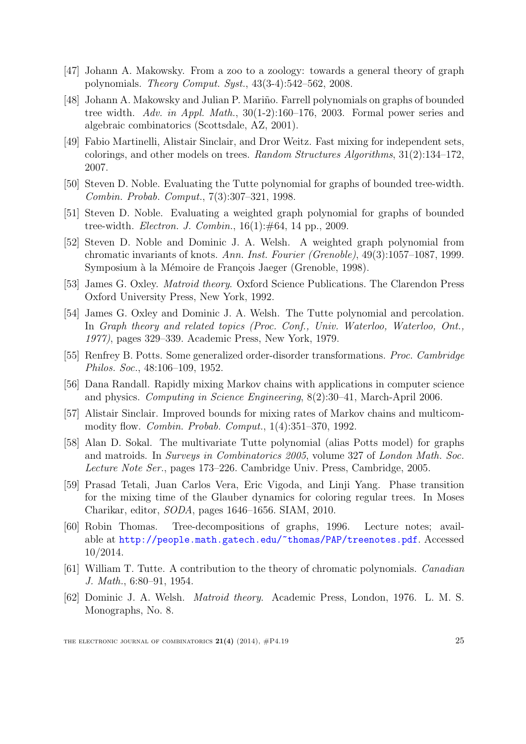- <span id="page-24-4"></span>[47] Johann A. Makowsky. From a zoo to a zoology: towards a general theory of graph polynomials. Theory Comput. Syst., 43(3-4):542–562, 2008.
- <span id="page-24-6"></span>[48] Johann A. Makowsky and Julian P. Mariño. Farrell polynomials on graphs of bounded tree width. Adv. in Appl. Math., 30(1-2):160–176, 2003. Formal power series and algebraic combinatorics (Scottsdale, AZ, 2001).
- <span id="page-24-9"></span>[49] Fabio Martinelli, Alistair Sinclair, and Dror Weitz. Fast mixing for independent sets, colorings, and other models on trees. Random Structures Algorithms, 31(2):134–172, 2007.
- <span id="page-24-5"></span>[50] Steven D. Noble. Evaluating the Tutte polynomial for graphs of bounded tree-width. Combin. Probab. Comput., 7(3):307–321, 1998.
- <span id="page-24-7"></span>[51] Steven D. Noble. Evaluating a weighted graph polynomial for graphs of bounded tree-width. *Electron. J. Combin.*, 16(1):#64, 14 pp., 2009.
- <span id="page-24-8"></span>[52] Steven D. Noble and Dominic J. A. Welsh. A weighted graph polynomial from chromatic invariants of knots. Ann. Inst. Fourier (Grenoble), 49(3):1057–1087, 1999. Symposium à la Mémoire de François Jaeger (Grenoble, 1998).
- <span id="page-24-15"></span>[53] James G. Oxley. Matroid theory. Oxford Science Publications. The Clarendon Press Oxford University Press, New York, 1992.
- <span id="page-24-2"></span>[54] James G. Oxley and Dominic J. A. Welsh. The Tutte polynomial and percolation. In Graph theory and related topics (Proc. Conf., Univ. Waterloo, Waterloo, Ont., 1977), pages 329–339. Academic Press, New York, 1979.
- <span id="page-24-3"></span>[55] Renfrey B. Potts. Some generalized order-disorder transformations. Proc. Cambridge Philos. Soc., 48:106–109, 1952.
- <span id="page-24-0"></span>[56] Dana Randall. Rapidly mixing Markov chains with applications in computer science and physics. Computing in Science Engineering, 8(2):30–41, March-April 2006.
- <span id="page-24-14"></span>[57] Alistair Sinclair. Improved bounds for mixing rates of Markov chains and multicommodity flow. Combin. Probab. Comput., 1(4):351–370, 1992.
- <span id="page-24-12"></span>[58] Alan D. Sokal. The multivariate Tutte polynomial (alias Potts model) for graphs and matroids. In Surveys in Combinatorics 2005, volume 327 of London Math. Soc. Lecture Note Ser., pages 173–226. Cambridge Univ. Press, Cambridge, 2005.
- <span id="page-24-10"></span>[59] Prasad Tetali, Juan Carlos Vera, Eric Vigoda, and Linji Yang. Phase transition for the mixing time of the Glauber dynamics for coloring regular trees. In Moses Charikar, editor, SODA, pages 1646–1656. SIAM, 2010.
- <span id="page-24-13"></span>[60] Robin Thomas. Tree-decompositions of graphs, 1996. Lecture notes; available at <http://people.math.gatech.edu/~thomas/PAP/treenotes.pdf>. Accessed 10/2014.
- <span id="page-24-1"></span>[61] William T. Tutte. A contribution to the theory of chromatic polynomials. Canadian J. Math., 6:80–91, 1954.
- <span id="page-24-11"></span>[62] Dominic J. A. Welsh. Matroid theory. Academic Press, London, 1976. L. M. S. Monographs, No. 8.